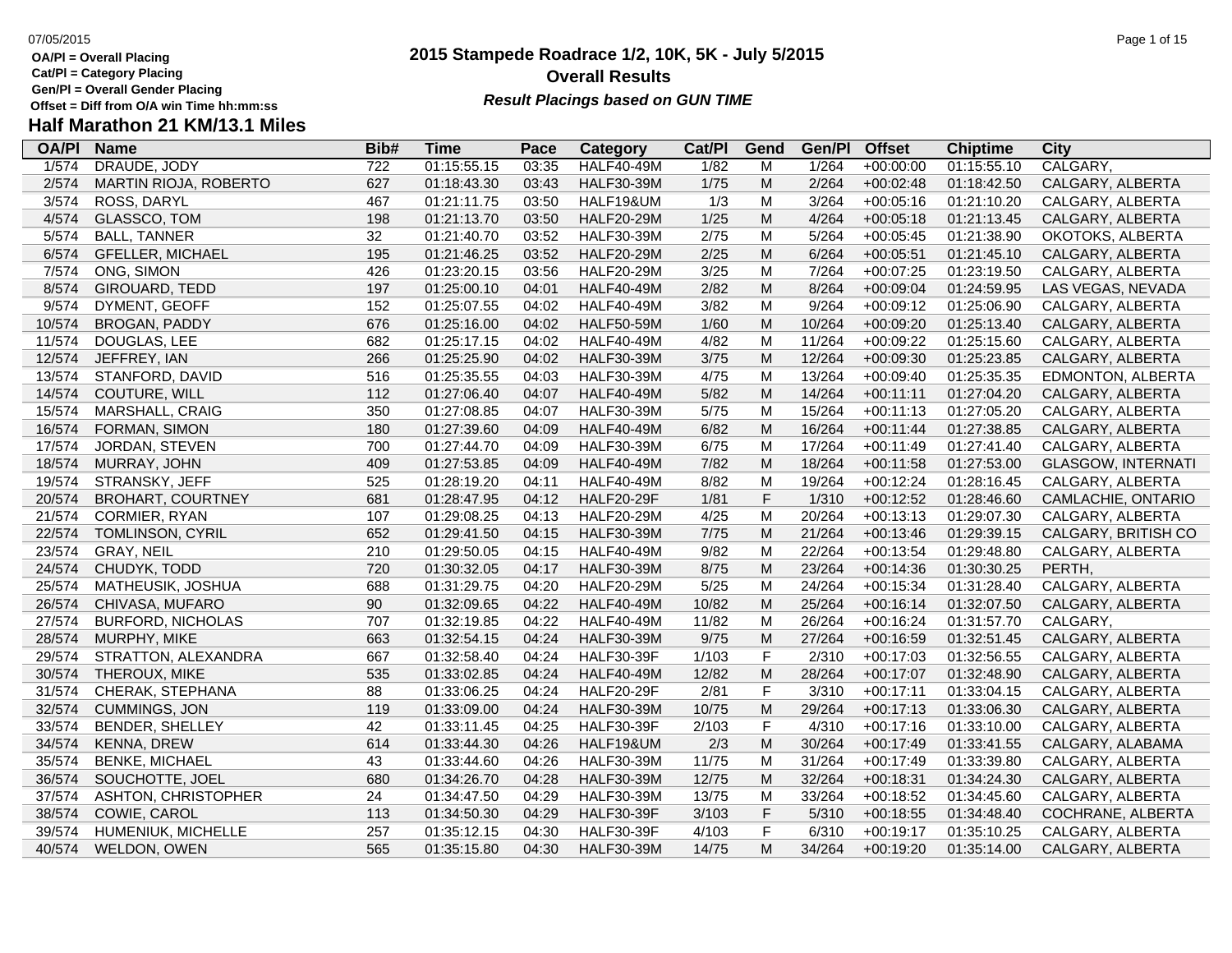- **OA/Pl = Overall Placing**
- **Cat/Pl = Category Placing**
- **Gen/Pl = Overall Gender Placing**
- 

## **2015 Stampede Roadrace 1/2, 10K, 5K - July 5/2015** 07/05/2015 Page 1 of 15 **Overall Results** Gen/PI = Overall Gender Placing<br>Offset = Diff from O/A win Time hh:mm:ss *Result Placings based on GUN TIME*

| <b>OA/PI</b> | <b>Name</b>              | Bib#             | Time        | Pace  | Category          | Cat/PI | Gend        | Gen/Pl | <b>Offset</b> | <b>Chiptime</b> | City                      |
|--------------|--------------------------|------------------|-------------|-------|-------------------|--------|-------------|--------|---------------|-----------------|---------------------------|
| 1/574        | DRAUDE, JODY             | $\overline{722}$ | 01:15:55.15 | 03:35 | <b>HALF40-49M</b> | 1/82   | M           | 1/264  | $+00:00:00$   | 01:15:55.10     | CALGARY,                  |
| 2/574        | MARTIN RIOJA, ROBERTO    | 627              | 01:18:43.30 | 03:43 | <b>HALF30-39M</b> | 1/75   | M           | 2/264  | $+00:02:48$   | 01:18:42.50     | CALGARY, ALBERTA          |
| 3/574        | ROSS, DARYL              | 467              | 01:21:11.75 | 03:50 | HALF19&UM         | 1/3    | M           | 3/264  | $+00:05:16$   | 01:21:10.20     | CALGARY, ALBERTA          |
| 4/574        | GLASSCO, TOM             | 198              | 01:21:13.70 | 03:50 | <b>HALF20-29M</b> | 1/25   | M           | 4/264  | $+00:05:18$   | 01:21:13.45     | CALGARY, ALBERTA          |
| 5/574        | <b>BALL, TANNER</b>      | 32               | 01:21:40.70 | 03:52 | <b>HALF30-39M</b> | 2/75   | M           | 5/264  | $+00:05:45$   | 01:21:38.90     | OKOTOKS, ALBERTA          |
| 6/574        | <b>GFELLER, MICHAEL</b>  | 195              | 01:21:46.25 | 03:52 | <b>HALF20-29M</b> | 2/25   | M           | 6/264  | $+00:05:51$   | 01:21:45.10     | CALGARY, ALBERTA          |
| 7/574        | ONG, SIMON               | 426              | 01:23:20.15 | 03:56 | <b>HALF20-29M</b> | 3/25   | M           | 7/264  | $+00:07:25$   | 01:23:19.50     | CALGARY, ALBERTA          |
| 8/574        | GIROUARD, TEDD           | 197              | 01:25:00.10 | 04:01 | <b>HALF40-49M</b> | 2/82   | M           | 8/264  | $+00:09:04$   | 01:24:59.95     | LAS VEGAS, NEVADA         |
| 9/574        | DYMENT, GEOFF            | 152              | 01:25:07.55 | 04:02 | <b>HALF40-49M</b> | 3/82   | M           | 9/264  | $+00:09:12$   | 01:25:06.90     | CALGARY, ALBERTA          |
| 10/574       | BROGAN, PADDY            | 676              | 01:25:16.00 | 04:02 | <b>HALF50-59M</b> | 1/60   | M           | 10/264 | $+00:09:20$   | 01:25:13.40     | CALGARY, ALBERTA          |
| 11/574       | DOUGLAS, LEE             | 682              | 01:25:17.15 | 04:02 | <b>HALF40-49M</b> | 4/82   | M           | 11/264 | +00:09:22     | 01:25:15.60     | CALGARY, ALBERTA          |
| 12/574       | JEFFREY, IAN             | 266              | 01:25:25.90 | 04:02 | <b>HALF30-39M</b> | 3/75   | ${\sf M}$   | 12/264 | $+00:09:30$   | 01:25:23.85     | CALGARY, ALBERTA          |
| 13/574       | STANFORD, DAVID          | 516              | 01:25:35.55 | 04:03 | <b>HALF30-39M</b> | 4/75   | M           | 13/264 | $+00:09:40$   | 01:25:35.35     | EDMONTON, ALBERTA         |
| 14/574       | <b>COUTURE, WILL</b>     | 112              | 01:27:06.40 | 04:07 | <b>HALF40-49M</b> | 5/82   | M           | 14/264 | $+00:11:11$   | 01:27:04.20     | CALGARY, ALBERTA          |
| 15/574       | <b>MARSHALL, CRAIG</b>   | 350              | 01:27:08.85 | 04:07 | <b>HALF30-39M</b> | 5/75   | M           | 15/264 | $+00:11:13$   | 01:27:05.20     | CALGARY, ALBERTA          |
| 16/574       | FORMAN, SIMON            | 180              | 01:27:39.60 | 04:09 | <b>HALF40-49M</b> | 6/82   | M           | 16/264 | $+00:11:44$   | 01:27:38.85     | CALGARY, ALBERTA          |
| 17/574       | JORDAN, STEVEN           | 700              | 01:27:44.70 | 04:09 | <b>HALF30-39M</b> | 6/75   | M           | 17/264 | $+00:11:49$   | 01:27:41.40     | CALGARY, ALBERTA          |
| 18/574       | MURRAY, JOHN             | 409              | 01:27:53.85 | 04:09 | <b>HALF40-49M</b> | 7/82   | M           | 18/264 | $+00:11:58$   | 01:27:53.00     | <b>GLASGOW, INTERNATI</b> |
| 19/574       | STRANSKY, JEFF           | 525              | 01:28:19.20 | 04:11 | <b>HALF40-49M</b> | 8/82   | M           | 19/264 | $+00:12:24$   | 01:28:16.45     | CALGARY, ALBERTA          |
| 20/574       | <b>BROHART, COURTNEY</b> | 681              | 01:28:47.95 | 04:12 | <b>HALF20-29F</b> | 1/81   | $\mathsf F$ | 1/310  | $+00:12:52$   | 01:28:46.60     | CAMLACHIE, ONTARIO        |
| 21/574       | CORMIER, RYAN            | 107              | 01:29:08.25 | 04:13 | <b>HALF20-29M</b> | 4/25   | M           | 20/264 | $+00:13:13$   | 01:29:07.30     | CALGARY, ALBERTA          |
| 22/574       | TOMLINSON, CYRIL         | 652              | 01:29:41.50 | 04:15 | <b>HALF30-39M</b> | 7/75   | ${\sf M}$   | 21/264 | $+00:13:46$   | 01:29:39.15     | CALGARY, BRITISH CO       |
| 23/574       | GRAY, NEIL               | 210              | 01:29:50.05 | 04:15 | <b>HALF40-49M</b> | 9/82   | M           | 22/264 | $+00:13:54$   | 01:29:48.80     | CALGARY, ALBERTA          |
| 24/574       | CHUDYK, TODD             | 720              | 01:30:32.05 | 04:17 | <b>HALF30-39M</b> | 8/75   | M           | 23/264 | $+00:14:36$   | 01:30:30.25     | PERTH.                    |
| 25/574       | MATHEUSIK, JOSHUA        | 688              | 01:31:29.75 | 04:20 | <b>HALF20-29M</b> | 5/25   | M           | 24/264 | $+00:15:34$   | 01:31:28.40     | CALGARY, ALBERTA          |
| 26/574       | CHIVASA, MUFARO          | 90               | 01:32:09.65 | 04:22 | <b>HALF40-49M</b> | 10/82  | M           | 25/264 | $+00:16:14$   | 01:32:07.50     | CALGARY, ALBERTA          |
| 27/574       | <b>BURFORD, NICHOLAS</b> | 707              | 01:32:19.85 | 04:22 | <b>HALF40-49M</b> | 11/82  | M           | 26/264 | $+00:16:24$   | 01:31:57.70     | CALGARY,                  |
| 28/574       | MURPHY, MIKE             | 663              | 01:32:54.15 | 04:24 | <b>HALF30-39M</b> | 9/75   | ${\sf M}$   | 27/264 | $+00:16:59$   | 01:32:51.45     | CALGARY, ALBERTA          |
| 29/574       | STRATTON, ALEXANDRA      | 667              | 01:32:58.40 | 04:24 | <b>HALF30-39F</b> | 1/103  | $\mathsf F$ | 2/310  | $+00:17:03$   | 01:32:56.55     | CALGARY, ALBERTA          |
| 30/574       | THEROUX, MIKE            | 535              | 01:33:02.85 | 04:24 | <b>HALF40-49M</b> | 12/82  | M           | 28/264 | $+00:17:07$   | 01:32:48.90     | CALGARY, ALBERTA          |
| 31/574       | CHERAK, STEPHANA         | 88               | 01:33:06.25 | 04:24 | <b>HALF20-29F</b> | 2/81   | $\mathsf F$ | 3/310  | $+00:17:11$   | 01:33:04.15     | CALGARY, ALBERTA          |
| 32/574       | <b>CUMMINGS, JON</b>     | 119              | 01:33:09.00 | 04:24 | <b>HALF30-39M</b> | 10/75  | M           | 29/264 | $+00:17:13$   | 01:33:06.30     | CALGARY, ALBERTA          |
| 33/574       | <b>BENDER, SHELLEY</b>   | 42               | 01:33:11.45 | 04:25 | <b>HALF30-39F</b> | 2/103  | $\mathsf F$ | 4/310  | $+00:17:16$   | 01:33:10.00     | CALGARY, ALBERTA          |
| 34/574       | <b>KENNA, DREW</b>       | 614              | 01:33:44.30 | 04:26 | HALF19&UM         | 2/3    | M           | 30/264 | $+00:17:49$   | 01:33:41.55     | CALGARY, ALABAMA          |
| 35/574       | <b>BENKE, MICHAEL</b>    | 43               | 01:33:44.60 | 04:26 | <b>HALF30-39M</b> | 11/75  | M           | 31/264 | $+00:17:49$   | 01:33:39.80     | CALGARY, ALBERTA          |
| 36/574       | SOUCHOTTE, JOEL          | 680              | 01:34:26.70 | 04:28 | <b>HALF30-39M</b> | 12/75  | M           | 32/264 | $+00:18:31$   | 01:34:24.30     | CALGARY, ALBERTA          |
| 37/574       | ASHTON, CHRISTOPHER      | 24               | 01:34:47.50 | 04:29 | <b>HALF30-39M</b> | 13/75  | M           | 33/264 | $+00:18:52$   | 01:34:45.60     | CALGARY, ALBERTA          |
| 38/574       | COWIE, CAROL             | 113              | 01:34:50.30 | 04:29 | <b>HALF30-39F</b> | 3/103  | $\mathsf F$ | 5/310  | $+00:18:55$   | 01:34:48.40     | COCHRANE, ALBERTA         |
| 39/574       | HUMENIUK, MICHELLE       | 257              | 01:35:12.15 | 04:30 | <b>HALF30-39F</b> | 4/103  | $\mathsf F$ | 6/310  | $+00:19:17$   | 01:35:10.25     | CALGARY, ALBERTA          |
| 40/574       | WELDON, OWEN             | 565              | 01:35:15.80 | 04:30 | <b>HALF30-39M</b> | 14/75  | M           | 34/264 | $+00:19:20$   | 01:35:14.00     | CALGARY, ALBERTA          |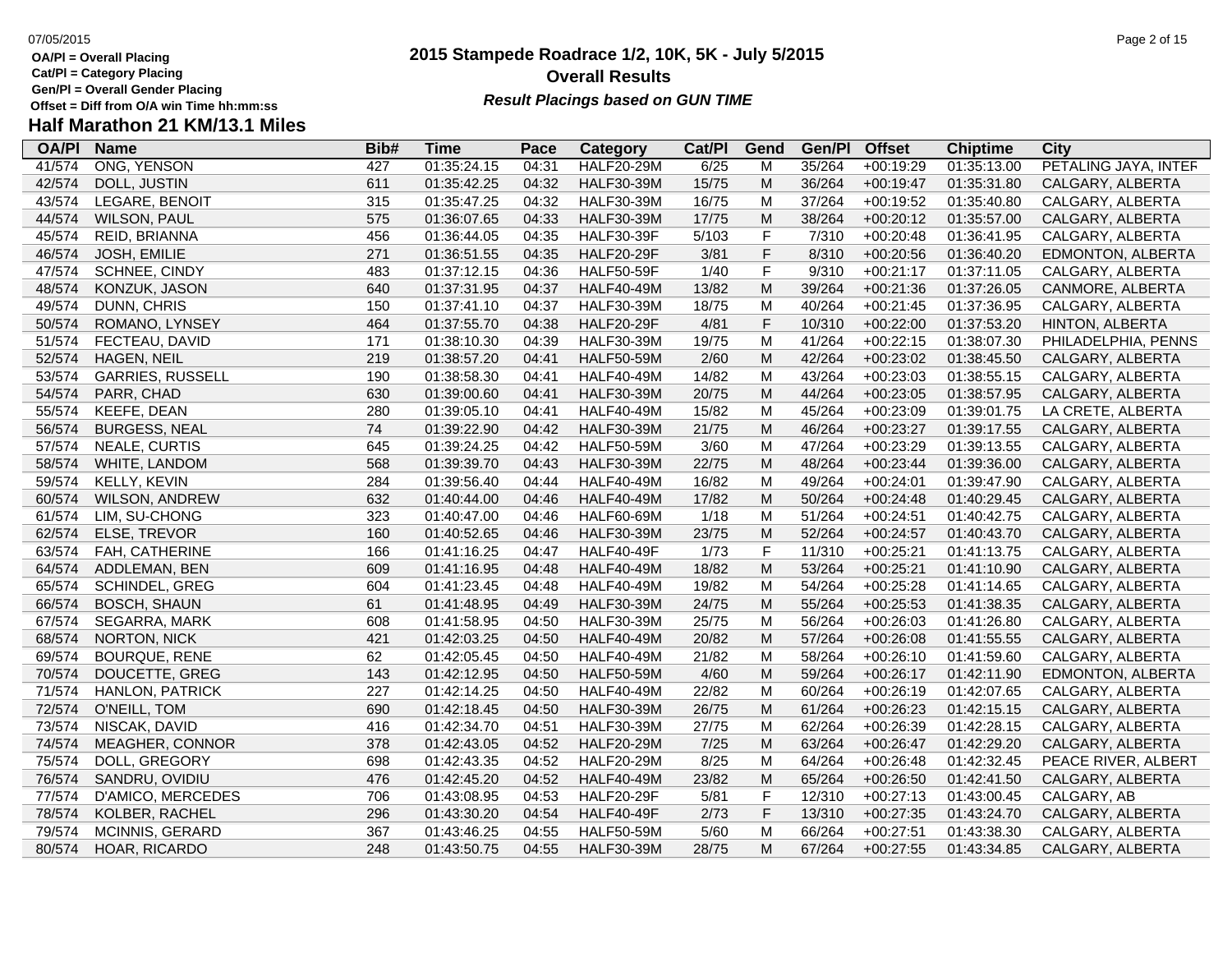**Cat/Pl = Category Placing**

**Gen/Pl = Overall Gender Placing**

## **2015 Stampede Roadrace 1/2, 10K, 5K - July 5/2015** 07/05/2015 Page 2 of 15 **Overall Results** Gen/PI = Overall Gender Placing<br>Offset = Diff from O/A win Time hh:mm:ss *Result Placings based on GUN TIME*

| <b>OA/PI</b> | <b>Name</b>             | Bib# | Time        | Pace  | Category          | Cat/PI | Gend        | Gen/Pl | <b>Offset</b> | <b>Chiptime</b> | City                 |
|--------------|-------------------------|------|-------------|-------|-------------------|--------|-------------|--------|---------------|-----------------|----------------------|
| 41/574       | ONG, YENSON             | 427  | 01:35:24.15 | 04:31 | <b>HALF20-29M</b> | 6/25   | M           | 35/264 | $+00:19:29$   | 01:35:13.00     | PETALING JAYA, INTEF |
| 42/574       | DOLL, JUSTIN            | 611  | 01:35:42.25 | 04:32 | <b>HALF30-39M</b> | 15/75  | M           | 36/264 | $+00:19:47$   | 01:35:31.80     | CALGARY, ALBERTA     |
| 43/574       | LEGARE, BENOIT          | 315  | 01:35:47.25 | 04:32 | <b>HALF30-39M</b> | 16/75  | M           | 37/264 | $+00:19:52$   | 01:35:40.80     | CALGARY, ALBERTA     |
| 44/574       | <b>WILSON, PAUL</b>     | 575  | 01:36:07.65 | 04:33 | <b>HALF30-39M</b> | 17/75  | M           | 38/264 | $+00:20:12$   | 01:35:57.00     | CALGARY, ALBERTA     |
| 45/574       | REID, BRIANNA           | 456  | 01:36:44.05 | 04:35 | <b>HALF30-39F</b> | 5/103  | F           | 7/310  | $+00:20:48$   | 01:36:41.95     | CALGARY, ALBERTA     |
| 46/574       | JOSH, EMILIE            | 271  | 01:36:51.55 | 04:35 | <b>HALF20-29F</b> | 3/81   | F           | 8/310  | $+00:20:56$   | 01:36:40.20     | EDMONTON, ALBERTA    |
| 47/574       | SCHNEE, CINDY           | 483  | 01:37:12.15 | 04:36 | <b>HALF50-59F</b> | 1/40   | $\mathsf F$ | 9/310  | $+00:21:17$   | 01:37:11.05     | CALGARY, ALBERTA     |
| 48/574       | KONZUK, JASON           | 640  | 01:37:31.95 | 04:37 | <b>HALF40-49M</b> | 13/82  | M           | 39/264 | $+00:21:36$   | 01:37:26.05     | CANMORE, ALBERTA     |
| 49/574       | DUNN, CHRIS             | 150  | 01:37:41.10 | 04:37 | <b>HALF30-39M</b> | 18/75  | M           | 40/264 | $+00:21:45$   | 01:37:36.95     | CALGARY, ALBERTA     |
| 50/574       | ROMANO, LYNSEY          | 464  | 01:37:55.70 | 04:38 | <b>HALF20-29F</b> | 4/81   | $\mathsf F$ | 10/310 | $+00:22:00$   | 01:37:53.20     | HINTON, ALBERTA      |
| 51/574       | FECTEAU, DAVID          | 171  | 01:38:10.30 | 04:39 | <b>HALF30-39M</b> | 19/75  | M           | 41/264 | $+00:22:15$   | 01:38:07.30     | PHILADELPHIA, PENNS  |
| 52/574       | HAGEN, NEIL             | 219  | 01:38:57.20 | 04:41 | <b>HALF50-59M</b> | 2/60   | M           | 42/264 | $+00:23:02$   | 01:38:45.50     | CALGARY, ALBERTA     |
| 53/574       | <b>GARRIES, RUSSELL</b> | 190  | 01:38:58.30 | 04:41 | <b>HALF40-49M</b> | 14/82  | M           | 43/264 | $+00:23:03$   | 01:38:55.15     | CALGARY, ALBERTA     |
| 54/574       | PARR, CHAD              | 630  | 01:39:00.60 | 04:41 | <b>HALF30-39M</b> | 20/75  | M           | 44/264 | $+00:23:05$   | 01:38:57.95     | CALGARY, ALBERTA     |
| 55/574       | <b>KEEFE, DEAN</b>      | 280  | 01:39:05.10 | 04:41 | <b>HALF40-49M</b> | 15/82  | M           | 45/264 | $+00:23:09$   | 01:39:01.75     | LA CRETE, ALBERTA    |
| 56/574       | <b>BURGESS, NEAL</b>    | 74   | 01:39:22.90 | 04:42 | <b>HALF30-39M</b> | 21/75  | M           | 46/264 | $+00:23:27$   | 01:39:17.55     | CALGARY, ALBERTA     |
| 57/574       | NEALE, CURTIS           | 645  | 01:39:24.25 | 04:42 | <b>HALF50-59M</b> | 3/60   | M           | 47/264 | +00:23:29     | 01:39:13.55     | CALGARY, ALBERTA     |
| 58/574       | WHITE, LANDOM           | 568  | 01:39:39.70 | 04:43 | <b>HALF30-39M</b> | 22/75  | M           | 48/264 | $+00:23:44$   | 01:39:36.00     | CALGARY, ALBERTA     |
| 59/574       | KELLY, KEVIN            | 284  | 01:39:56.40 | 04:44 | <b>HALF40-49M</b> | 16/82  | M           | 49/264 | $+00:24:01$   | 01:39:47.90     | CALGARY, ALBERTA     |
| 60/574       | WILSON, ANDREW          | 632  | 01:40:44.00 | 04:46 | <b>HALF40-49M</b> | 17/82  | M           | 50/264 | $+00:24:48$   | 01:40:29.45     | CALGARY, ALBERTA     |
| 61/574       | LIM, SU-CHONG           | 323  | 01:40:47.00 | 04:46 | <b>HALF60-69M</b> | 1/18   | M           | 51/264 | $+00:24:51$   | 01:40:42.75     | CALGARY, ALBERTA     |
| 62/574       | ELSE, TREVOR            | 160  | 01:40:52.65 | 04:46 | <b>HALF30-39M</b> | 23/75  | M           | 52/264 | $+00:24:57$   | 01:40:43.70     | CALGARY, ALBERTA     |
| 63/574       | FAH, CATHERINE          | 166  | 01:41:16.25 | 04:47 | <b>HALF40-49F</b> | 1/73   | $\mathsf F$ | 11/310 | $+00:25:21$   | 01:41:13.75     | CALGARY, ALBERTA     |
| 64/574       | ADDLEMAN, BEN           | 609  | 01:41:16.95 | 04:48 | <b>HALF40-49M</b> | 18/82  | M           | 53/264 | $+00:25:21$   | 01:41:10.90     | CALGARY, ALBERTA     |
| 65/574       | SCHINDEL, GREG          | 604  | 01:41:23.45 | 04:48 | <b>HALF40-49M</b> | 19/82  | M           | 54/264 | $+00:25:28$   | 01:41:14.65     | CALGARY, ALBERTA     |
| 66/574       | <b>BOSCH, SHAUN</b>     | 61   | 01:41:48.95 | 04:49 | <b>HALF30-39M</b> | 24/75  | M           | 55/264 | $+00:25:53$   | 01:41:38.35     | CALGARY, ALBERTA     |
| 67/574       | SEGARRA, MARK           | 608  | 01:41:58.95 | 04:50 | <b>HALF30-39M</b> | 25/75  | M           | 56/264 | $+00:26:03$   | 01:41:26.80     | CALGARY, ALBERTA     |
| 68/574       | <b>NORTON, NICK</b>     | 421  | 01:42:03.25 | 04:50 | <b>HALF40-49M</b> | 20/82  | M           | 57/264 | $+00:26:08$   | 01:41:55.55     | CALGARY, ALBERTA     |
| 69/574       | <b>BOURQUE, RENE</b>    | 62   | 01:42:05.45 | 04:50 | <b>HALF40-49M</b> | 21/82  | M           | 58/264 | $+00:26:10$   | 01:41:59.60     | CALGARY, ALBERTA     |
| 70/574       | DOUCETTE, GREG          | 143  | 01:42:12.95 | 04:50 | <b>HALF50-59M</b> | 4/60   | M           | 59/264 | $+00:26:17$   | 01:42:11.90     | EDMONTON, ALBERTA    |
| 71/574       | <b>HANLON, PATRICK</b>  | 227  | 01:42:14.25 | 04:50 | <b>HALF40-49M</b> | 22/82  | M           | 60/264 | $+00:26:19$   | 01:42:07.65     | CALGARY, ALBERTA     |
| 72/574       | O'NEILL, TOM            | 690  | 01:42:18.45 | 04:50 | <b>HALF30-39M</b> | 26/75  | M           | 61/264 | $+00:26:23$   | 01:42:15.15     | CALGARY, ALBERTA     |
| 73/574       | NISCAK, DAVID           | 416  | 01:42:34.70 | 04:51 | <b>HALF30-39M</b> | 27/75  | M           | 62/264 | $+00:26:39$   | 01:42:28.15     | CALGARY, ALBERTA     |
| 74/574       | <b>MEAGHER, CONNOR</b>  | 378  | 01:42:43.05 | 04:52 | <b>HALF20-29M</b> | 7/25   | M           | 63/264 | $+00:26:47$   | 01:42:29.20     | CALGARY, ALBERTA     |
| 75/574       | DOLL, GREGORY           | 698  | 01:42:43.35 | 04:52 | <b>HALF20-29M</b> | 8/25   | M           | 64/264 | $+00:26:48$   | 01:42:32.45     | PEACE RIVER, ALBERT  |
| 76/574       | SANDRU, OVIDIU          | 476  | 01:42:45.20 | 04:52 | <b>HALF40-49M</b> | 23/82  | M           | 65/264 | $+00:26:50$   | 01:42:41.50     | CALGARY, ALBERTA     |
| 77/574       | D'AMICO, MERCEDES       | 706  | 01:43:08.95 | 04:53 | <b>HALF20-29F</b> | 5/81   | $\mathsf F$ | 12/310 | $+00:27:13$   | 01:43:00.45     | CALGARY, AB          |
| 78/574       | KOLBER, RACHEL          | 296  | 01:43:30.20 | 04:54 | <b>HALF40-49F</b> | 2/73   | $\mathsf F$ | 13/310 | $+00:27:35$   | 01:43:24.70     | CALGARY, ALBERTA     |
| 79/574       | <b>MCINNIS, GERARD</b>  | 367  | 01:43:46.25 | 04:55 | <b>HALF50-59M</b> | 5/60   | M           | 66/264 | $+00:27:51$   | 01:43:38.30     | CALGARY, ALBERTA     |
| 80/574       | HOAR, RICARDO           | 248  | 01:43:50.75 | 04:55 | <b>HALF30-39M</b> | 28/75  | M           | 67/264 | $+00:27:55$   | 01:43:34.85     | CALGARY, ALBERTA     |
|              |                         |      |             |       |                   |        |             |        |               |                 |                      |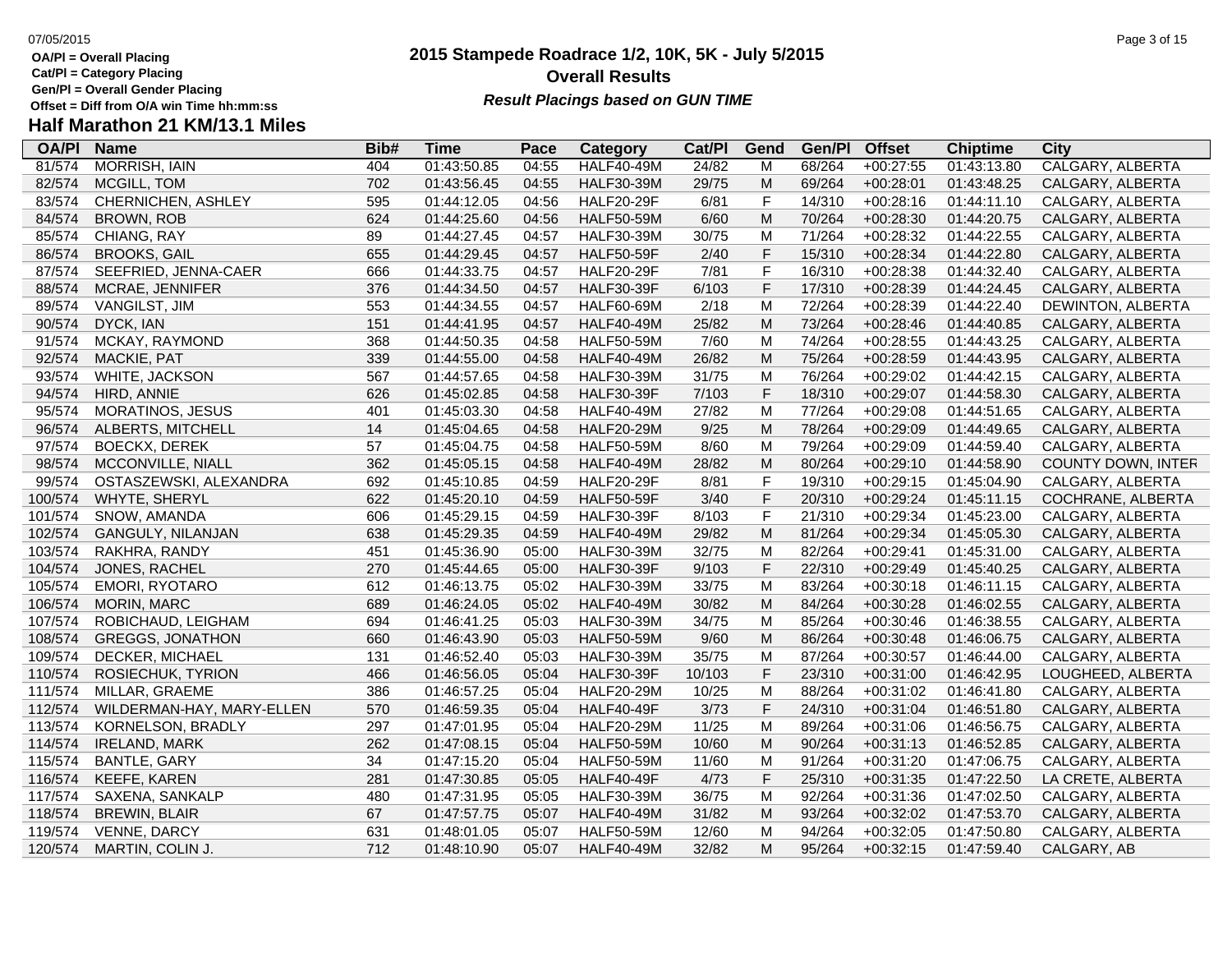**Cat/Pl = Category Placing**

**Gen/Pl = Overall Gender Placing**

### **2015 Stampede Roadrace 1/2, 10K, 5K - July 5/2015** 07/05/2015 Page 3 of 15 **Overall Results Result Placings based on GUN TIME**

| <b>OA/PI</b> | <b>Name</b>               | Bib# | Time        | Pace  | Category          | Cat/Pl | Gend        | Gen/Pl | <b>Offset</b> | <b>Chiptime</b> | City                    |
|--------------|---------------------------|------|-------------|-------|-------------------|--------|-------------|--------|---------------|-----------------|-------------------------|
| 81/574       | <b>MORRISH, IAIN</b>      | 404  | 01:43:50.85 | 04:55 | <b>HALF40-49M</b> | 24/82  | M           | 68/264 | $+00:27:55$   | 01:43:13.80     | <b>CALGARY, ALBERTA</b> |
| 82/574       | MCGILL, TOM               | 702  | 01:43:56.45 | 04:55 | <b>HALF30-39M</b> | 29/75  | ${\sf M}$   | 69/264 | $+00:28:01$   | 01:43:48.25     | CALGARY, ALBERTA        |
| 83/574       | CHERNICHEN, ASHLEY        | 595  | 01:44:12.05 | 04:56 | <b>HALF20-29F</b> | 6/81   | $\mathsf F$ | 14/310 | $+00:28:16$   | 01:44:11.10     | CALGARY, ALBERTA        |
| 84/574       | <b>BROWN, ROB</b>         | 624  | 01:44:25.60 | 04:56 | <b>HALF50-59M</b> | 6/60   | M           | 70/264 | $+00:28:30$   | 01:44:20.75     | CALGARY, ALBERTA        |
| 85/574       | CHIANG, RAY               | 89   | 01:44:27.45 | 04:57 | <b>HALF30-39M</b> | 30/75  | M           | 71/264 | $+00:28:32$   | 01:44:22.55     | CALGARY, ALBERTA        |
| 86/574       | <b>BROOKS, GAIL</b>       | 655  | 01:44:29.45 | 04:57 | <b>HALF50-59F</b> | 2/40   | F           | 15/310 | $+00:28:34$   | 01:44:22.80     | CALGARY, ALBERTA        |
| 87/574       | SEEFRIED, JENNA-CAER      | 666  | 01:44:33.75 | 04:57 | <b>HALF20-29F</b> | 7/81   | F           | 16/310 | $+00:28:38$   | 01:44:32.40     | CALGARY, ALBERTA        |
| 88/574       | MCRAE, JENNIFER           | 376  | 01:44:34.50 | 04:57 | <b>HALF30-39F</b> | 6/103  | F           | 17/310 | $+00:28:39$   | 01:44:24.45     | CALGARY, ALBERTA        |
| 89/574       | <b>VANGILST, JIM</b>      | 553  | 01:44:34.55 | 04:57 | <b>HALF60-69M</b> | 2/18   | M           | 72/264 | $+00:28:39$   | 01:44:22.40     | DEWINTON, ALBERTA       |
| 90/574       | DYCK, IAN                 | 151  | 01:44:41.95 | 04:57 | <b>HALF40-49M</b> | 25/82  | ${\sf M}$   | 73/264 | $+00:28:46$   | 01:44:40.85     | CALGARY, ALBERTA        |
| 91/574       | MCKAY, RAYMOND            | 368  | 01:44:50.35 | 04:58 | <b>HALF50-59M</b> | 7/60   | M           | 74/264 | $+00:28:55$   | 01:44:43.25     | CALGARY, ALBERTA        |
| 92/574       | <b>MACKIE, PAT</b>        | 339  | 01:44:55.00 | 04:58 | <b>HALF40-49M</b> | 26/82  | M           | 75/264 | $+00:28:59$   | 01:44:43.95     | CALGARY, ALBERTA        |
| 93/574       | WHITE, JACKSON            | 567  | 01:44:57.65 | 04:58 | <b>HALF30-39M</b> | 31/75  | M           | 76/264 | $+00:29:02$   | 01:44:42.15     | CALGARY, ALBERTA        |
| 94/574       | HIRD, ANNIE               | 626  | 01:45:02.85 | 04:58 | <b>HALF30-39F</b> | 7/103  | F           | 18/310 | $+00:29:07$   | 01:44:58.30     | CALGARY, ALBERTA        |
| 95/574       | MORATINOS, JESUS          | 401  | 01:45:03.30 | 04:58 | <b>HALF40-49M</b> | 27/82  | M           | 77/264 | $+00:29:08$   | 01:44:51.65     | CALGARY, ALBERTA        |
| 96/574       | ALBERTS, MITCHELL         | 14   | 01:45:04.65 | 04:58 | <b>HALF20-29M</b> | 9/25   | M           | 78/264 | $+00:29:09$   | 01:44:49.65     | CALGARY, ALBERTA        |
| 97/574       | <b>BOECKX, DEREK</b>      | 57   | 01:45:04.75 | 04:58 | <b>HALF50-59M</b> | 8/60   | M           | 79/264 | $+00:29:09$   | 01:44:59.40     | CALGARY, ALBERTA        |
| 98/574       | MCCONVILLE, NIALL         | 362  | 01:45:05.15 | 04:58 | <b>HALF40-49M</b> | 28/82  | M           | 80/264 | $+00:29:10$   | 01:44:58.90     | COUNTY DOWN, INTER      |
| 99/574       | OSTASZEWSKI, ALEXANDRA    | 692  | 01:45:10.85 | 04:59 | <b>HALF20-29F</b> | 8/81   | $\mathsf F$ | 19/310 | $+00:29:15$   | 01:45:04.90     | CALGARY, ALBERTA        |
| 100/574      | WHYTE, SHERYL             | 622  | 01:45:20.10 | 04:59 | <b>HALF50-59F</b> | 3/40   | F           | 20/310 | $+00:29:24$   | 01:45:11.15     | COCHRANE, ALBERTA       |
| 101/574      | SNOW, AMANDA              | 606  | 01:45:29.15 | 04:59 | <b>HALF30-39F</b> | 8/103  | $\mathsf F$ | 21/310 | $+00:29:34$   | 01:45:23.00     | CALGARY, ALBERTA        |
| 102/574      | GANGULY, NILANJAN         | 638  | 01:45:29.35 | 04:59 | <b>HALF40-49M</b> | 29/82  | M           | 81/264 | $+00:29:34$   | 01:45:05.30     | CALGARY, ALBERTA        |
| 103/574      | RAKHRA, RANDY             | 451  | 01:45:36.90 | 05:00 | <b>HALF30-39M</b> | 32/75  | M           | 82/264 | $+00:29:41$   | 01:45:31.00     | CALGARY, ALBERTA        |
| 104/574      | JONES, RACHEL             | 270  | 01:45:44.65 | 05:00 | <b>HALF30-39F</b> | 9/103  | F           | 22/310 | $+00:29:49$   | 01:45:40.25     | CALGARY, ALBERTA        |
| 105/574      | EMORI, RYOTARO            | 612  | 01:46:13.75 | 05:02 | <b>HALF30-39M</b> | 33/75  | M           | 83/264 | $+00:30:18$   | 01:46:11.15     | CALGARY, ALBERTA        |
| 106/574      | <b>MORIN, MARC</b>        | 689  | 01:46:24.05 | 05:02 | <b>HALF40-49M</b> | 30/82  | M           | 84/264 | $+00:30:28$   | 01:46:02.55     | CALGARY, ALBERTA        |
| 107/574      | ROBICHAUD, LEIGHAM        | 694  | 01:46:41.25 | 05:03 | <b>HALF30-39M</b> | 34/75  | M           | 85/264 | $+00:30:46$   | 01:46:38.55     | CALGARY, ALBERTA        |
| 108/574      | <b>GREGGS, JONATHON</b>   | 660  | 01:46:43.90 | 05:03 | <b>HALF50-59M</b> | 9/60   | M           | 86/264 | $+00:30:48$   | 01:46:06.75     | CALGARY, ALBERTA        |
| 109/574      | DECKER, MICHAEL           | 131  | 01:46:52.40 | 05:03 | <b>HALF30-39M</b> | 35/75  | M           | 87/264 | $+00:30:57$   | 01:46:44.00     | CALGARY, ALBERTA        |
| 110/574      | ROSIECHUK, TYRION         | 466  | 01:46:56.05 | 05:04 | <b>HALF30-39F</b> | 10/103 | F           | 23/310 | $+00:31:00$   | 01:46:42.95     | LOUGHEED, ALBERTA       |
| 111/574      | MILLAR, GRAEME            | 386  | 01:46:57.25 | 05:04 | <b>HALF20-29M</b> | 10/25  | M           | 88/264 | $+00:31:02$   | 01:46:41.80     | CALGARY, ALBERTA        |
| 112/574      | WILDERMAN-HAY, MARY-ELLEN | 570  | 01:46:59.35 | 05:04 | <b>HALF40-49F</b> | 3/73   | F           | 24/310 | $+00:31:04$   | 01:46:51.80     | CALGARY, ALBERTA        |
| 113/574      | KORNELSON, BRADLY         | 297  | 01:47:01.95 | 05:04 | <b>HALF20-29M</b> | 11/25  | M           | 89/264 | $+00:31:06$   | 01:46:56.75     | CALGARY, ALBERTA        |
| 114/574      | <b>IRELAND, MARK</b>      | 262  | 01:47:08.15 | 05:04 | <b>HALF50-59M</b> | 10/60  | M           | 90/264 | $+00:31:13$   | 01:46:52.85     | CALGARY, ALBERTA        |
| 115/574      | <b>BANTLE, GARY</b>       | 34   | 01:47:15.20 | 05:04 | <b>HALF50-59M</b> | 11/60  | M           | 91/264 | $+00:31:20$   | 01:47:06.75     | CALGARY, ALBERTA        |
| 116/574      | KEEFE, KAREN              | 281  | 01:47:30.85 | 05:05 | <b>HALF40-49F</b> | 4/73   | F           | 25/310 | $+00:31:35$   | 01:47:22.50     | LA CRETE, ALBERTA       |
| 117/574      | SAXENA, SANKALP           | 480  | 01:47:31.95 | 05:05 | <b>HALF30-39M</b> | 36/75  | M           | 92/264 | $+00:31:36$   | 01:47:02.50     | CALGARY, ALBERTA        |
| 118/574      | <b>BREWIN, BLAIR</b>      | 67   | 01:47:57.75 | 05:07 | <b>HALF40-49M</b> | 31/82  | M           | 93/264 | $+00:32:02$   | 01:47:53.70     | CALGARY, ALBERTA        |
| 119/574      | VENNE, DARCY              | 631  | 01:48:01.05 | 05:07 | <b>HALF50-59M</b> | 12/60  | M           | 94/264 | $+00:32:05$   | 01:47:50.80     | CALGARY, ALBERTA        |
| 120/574      | MARTIN, COLIN J.          | 712  | 01:48:10.90 | 05:07 | <b>HALF40-49M</b> | 32/82  | M           | 95/264 | $+00:32:15$   | 01:47:59.40     | CALGARY, AB             |
|              |                           |      |             |       |                   |        |             |        |               |                 |                         |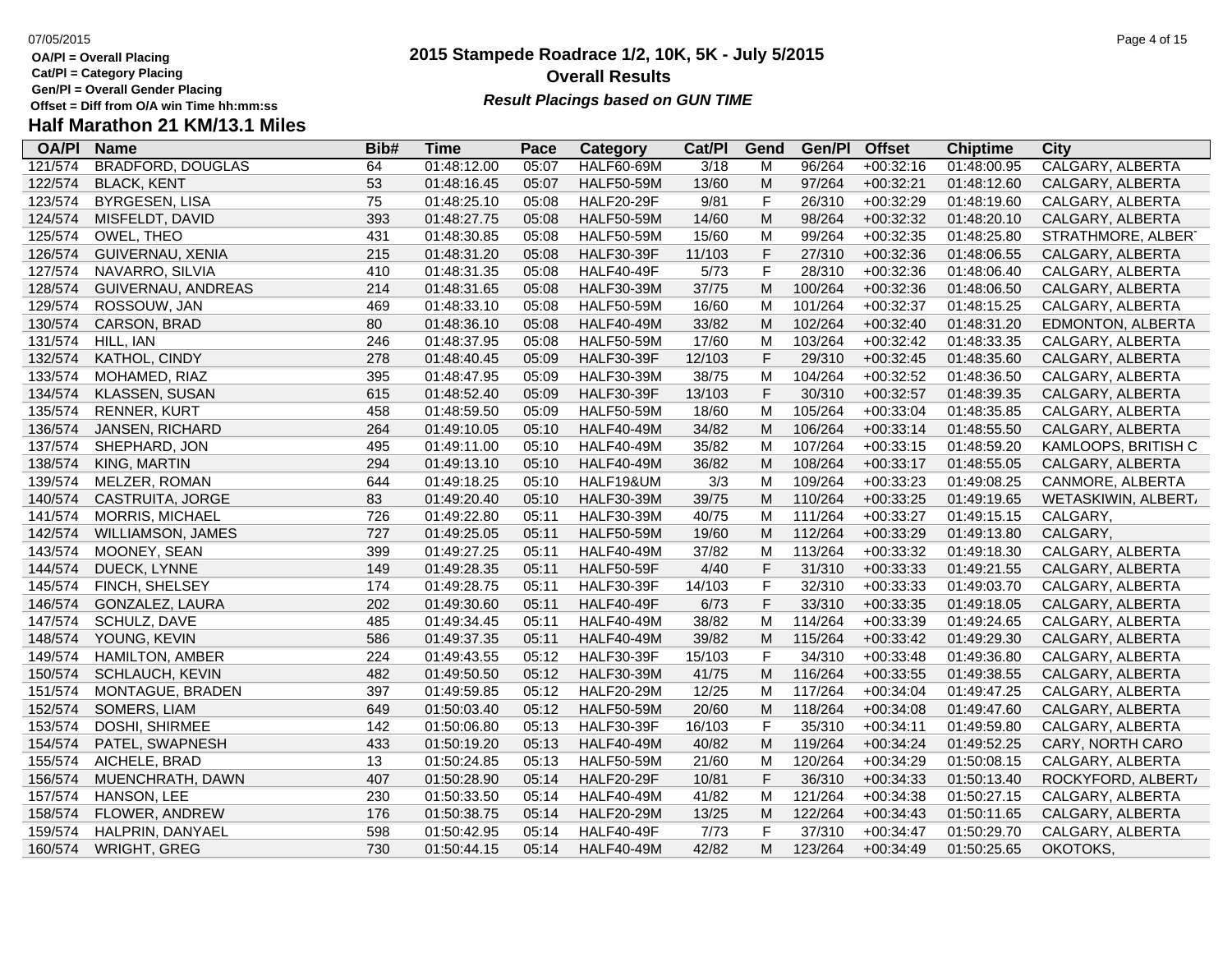**Cat/Pl = Category Placing**

**Gen/Pl = Overall Gender Placing**

### **2015 Stampede Roadrace 1/2, 10K, 5K - July 5/2015** 07/05/2015 Page 4 of 15 **Overall Results Result Placings based on GUN TIME**

| <b>OA/PI</b> | <b>Name</b>              | Bib# | Time        | Pace  | Category          | Cat/PI | Gend        | Gen/Pl  | <b>Offset</b> | <b>Chiptime</b> | City                     |
|--------------|--------------------------|------|-------------|-------|-------------------|--------|-------------|---------|---------------|-----------------|--------------------------|
| 121/574      | <b>BRADFORD, DOUGLAS</b> | 64   | 01:48:12.00 | 05:07 | <b>HALF60-69M</b> | 3/18   | M           | 96/264  | $+00:32:16$   | 01:48:00.95     | <b>CALGARY, ALBERTA</b>  |
| 122/574      | <b>BLACK, KENT</b>       | 53   | 01:48:16.45 | 05:07 | <b>HALF50-59M</b> | 13/60  | M           | 97/264  | $+00:32:21$   | 01:48:12.60     | CALGARY, ALBERTA         |
| 123/574      | <b>BYRGESEN, LISA</b>    | 75   | 01:48:25.10 | 05:08 | <b>HALF20-29F</b> | 9/81   | F           | 26/310  | $+00:32:29$   | 01:48:19.60     | CALGARY, ALBERTA         |
| 124/574      | MISFELDT, DAVID          | 393  | 01:48:27.75 | 05:08 | <b>HALF50-59M</b> | 14/60  | M           | 98/264  | $+00:32:32$   | 01:48:20.10     | CALGARY, ALBERTA         |
| 125/574      | OWEL, THEO               | 431  | 01:48:30.85 | 05:08 | <b>HALF50-59M</b> | 15/60  | M           | 99/264  | $+00:32:35$   | 01:48:25.80     | STRATHMORE, ALBERT       |
| 126/574      | GUIVERNAU, XENIA         | 215  | 01:48:31.20 | 05:08 | <b>HALF30-39F</b> | 11/103 | $\mathsf F$ | 27/310  | $+00:32:36$   | 01:48:06.55     | CALGARY, ALBERTA         |
| 127/574      | NAVARRO, SILVIA          | 410  | 01:48:31.35 | 05:08 | <b>HALF40-49F</b> | 5/73   | $\mathsf F$ | 28/310  | $+00:32:36$   | 01:48:06.40     | CALGARY, ALBERTA         |
| 128/574      | GUIVERNAU, ANDREAS       | 214  | 01:48:31.65 | 05:08 | <b>HALF30-39M</b> | 37/75  | M           | 100/264 | $+00:32:36$   | 01:48:06.50     | CALGARY, ALBERTA         |
| 129/574      | ROSSOUW, JAN             | 469  | 01:48:33.10 | 05:08 | <b>HALF50-59M</b> | 16/60  | M           | 101/264 | $+00:32:37$   | 01:48:15.25     | CALGARY, ALBERTA         |
| 130/574      | CARSON, BRAD             | 80   | 01:48:36.10 | 05:08 | <b>HALF40-49M</b> | 33/82  | M           | 102/264 | $+00:32:40$   | 01:48:31.20     | <b>EDMONTON, ALBERTA</b> |
| 131/574      | HILL, IAN                | 246  | 01:48:37.95 | 05:08 | <b>HALF50-59M</b> | 17/60  | M           | 103/264 | $+00:32:42$   | 01:48:33.35     | CALGARY, ALBERTA         |
| 132/574      | KATHOL, CINDY            | 278  | 01:48:40.45 | 05:09 | <b>HALF30-39F</b> | 12/103 | $\mathsf F$ | 29/310  | $+00:32:45$   | 01:48:35.60     | CALGARY, ALBERTA         |
| 133/574      | MOHAMED, RIAZ            | 395  | 01:48:47.95 | 05:09 | <b>HALF30-39M</b> | 38/75  | M           | 104/264 | $+00:32:52$   | 01:48:36.50     | CALGARY, ALBERTA         |
| 134/574      | KLASSEN, SUSAN           | 615  | 01:48:52.40 | 05:09 | <b>HALF30-39F</b> | 13/103 | F           | 30/310  | $+00:32:57$   | 01:48:39.35     | CALGARY, ALBERTA         |
| 135/574      | <b>RENNER, KURT</b>      | 458  | 01:48:59.50 | 05:09 | <b>HALF50-59M</b> | 18/60  | M           | 105/264 | $+00:33:04$   | 01:48:35.85     | CALGARY, ALBERTA         |
| 136/574      | JANSEN, RICHARD          | 264  | 01:49:10.05 | 05:10 | <b>HALF40-49M</b> | 34/82  | M           | 106/264 | $+00:33:14$   | 01:48:55.50     | CALGARY, ALBERTA         |
| 137/574      | SHEPHARD, JON            | 495  | 01:49:11.00 | 05:10 | <b>HALF40-49M</b> | 35/82  | M           | 107/264 | $+00:33:15$   | 01:48:59.20     | KAMLOOPS, BRITISH C      |
| 138/574      | KING, MARTIN             | 294  | 01:49:13.10 | 05:10 | <b>HALF40-49M</b> | 36/82  | M           | 108/264 | $+00:33:17$   | 01:48:55.05     | CALGARY, ALBERTA         |
| 139/574      | MELZER, ROMAN            | 644  | 01:49:18.25 | 05:10 | HALF19&UM         | 3/3    | M           | 109/264 | $+00:33:23$   | 01:49:08.25     | CANMORE, ALBERTA         |
| 140/574      | CASTRUITA, JORGE         | 83   | 01:49:20.40 | 05:10 | <b>HALF30-39M</b> | 39/75  | M           | 110/264 | $+00:33:25$   | 01:49:19.65     | WETASKIWIN, ALBERT.      |
| 141/574      | <b>MORRIS, MICHAEL</b>   | 726  | 01:49:22.80 | 05:11 | <b>HALF30-39M</b> | 40/75  | M           | 111/264 | $+00:33:27$   | 01:49:15.15     | CALGARY,                 |
| 142/574      | WILLIAMSON, JAMES        | 727  | 01:49:25.05 | 05:11 | <b>HALF50-59M</b> | 19/60  | M           | 112/264 | $+00:33:29$   | 01:49:13.80     | CALGARY,                 |
| 143/574      | MOONEY, SEAN             | 399  | 01:49:27.25 | 05:11 | <b>HALF40-49M</b> | 37/82  | M           | 113/264 | $+00:33:32$   | 01:49:18.30     | CALGARY, ALBERTA         |
| 144/574      | DUECK, LYNNE             | 149  | 01:49:28.35 | 05:11 | <b>HALF50-59F</b> | 4/40   | F           | 31/310  | $+00:33:33$   | 01:49:21.55     | CALGARY, ALBERTA         |
| 145/574      | <b>FINCH, SHELSEY</b>    | 174  | 01:49:28.75 | 05:11 | <b>HALF30-39F</b> | 14/103 | F           | 32/310  | $+00:33:33$   | 01:49:03.70     | CALGARY, ALBERTA         |
| 146/574      | GONZALEZ, LAURA          | 202  | 01:49:30.60 | 05:11 | <b>HALF40-49F</b> | 6/73   | $\mathsf F$ | 33/310  | $+00:33:35$   | 01:49:18.05     | CALGARY, ALBERTA         |
| 147/574      | SCHULZ, DAVE             | 485  | 01:49:34.45 | 05:11 | <b>HALF40-49M</b> | 38/82  | M           | 114/264 | $+00:33:39$   | 01:49:24.65     | CALGARY, ALBERTA         |
| 148/574      | YOUNG, KEVIN             | 586  | 01:49:37.35 | 05:11 | <b>HALF40-49M</b> | 39/82  | M           | 115/264 | $+00:33:42$   | 01:49:29.30     | CALGARY, ALBERTA         |
| 149/574      | <b>HAMILTON, AMBER</b>   | 224  | 01:49:43.55 | 05:12 | <b>HALF30-39F</b> | 15/103 | $\mathsf F$ | 34/310  | $+00:33:48$   | 01:49:36.80     | CALGARY, ALBERTA         |
| 150/574      | <b>SCHLAUCH, KEVIN</b>   | 482  | 01:49:50.50 | 05:12 | <b>HALF30-39M</b> | 41/75  | M           | 116/264 | $+00:33:55$   | 01:49:38.55     | CALGARY, ALBERTA         |
| 151/574      | MONTAGUE, BRADEN         | 397  | 01:49:59.85 | 05:12 | <b>HALF20-29M</b> | 12/25  | M           | 117/264 | $+00:34:04$   | 01:49:47.25     | CALGARY, ALBERTA         |
| 152/574      | SOMERS, LIAM             | 649  | 01:50:03.40 | 05:12 | <b>HALF50-59M</b> | 20/60  | M           | 118/264 | $+00:34:08$   | 01:49:47.60     | CALGARY, ALBERTA         |
| 153/574      | DOSHI, SHIRMEE           | 142  | 01:50:06.80 | 05:13 | <b>HALF30-39F</b> | 16/103 | F           | 35/310  | $+00:34:11$   | 01:49:59.80     | CALGARY, ALBERTA         |
| 154/574      | PATEL, SWAPNESH          | 433  | 01:50:19.20 | 05:13 | <b>HALF40-49M</b> | 40/82  | M           | 119/264 | $+00:34:24$   | 01:49:52.25     | CARY, NORTH CARO         |
| 155/574      | AICHELE, BRAD            | 13   | 01:50:24.85 | 05:13 | <b>HALF50-59M</b> | 21/60  | M           | 120/264 | $+00:34:29$   | 01:50:08.15     | CALGARY, ALBERTA         |
| 156/574      | MUENCHRATH, DAWN         | 407  | 01:50:28.90 | 05:14 | <b>HALF20-29F</b> | 10/81  | $\mathsf F$ | 36/310  | $+00:34:33$   | 01:50:13.40     | ROCKYFORD, ALBERT/       |
| 157/574      | HANSON, LEE              | 230  | 01:50:33.50 | 05:14 | <b>HALF40-49M</b> | 41/82  | M           | 121/264 | $+00:34:38$   | 01:50:27.15     | CALGARY, ALBERTA         |
| 158/574      | FLOWER, ANDREW           | 176  | 01:50:38.75 | 05:14 | <b>HALF20-29M</b> | 13/25  | M           | 122/264 | $+00:34:43$   | 01:50:11.65     | CALGARY, ALBERTA         |
| 159/574      | HALPRIN, DANYAEL         | 598  | 01:50:42.95 | 05:14 | <b>HALF40-49F</b> | 7/73   | F           | 37/310  | $+00:34:47$   | 01:50:29.70     | CALGARY, ALBERTA         |
| 160/574      | <b>WRIGHT, GREG</b>      | 730  | 01:50:44.15 | 05:14 | <b>HALF40-49M</b> | 42/82  | м           | 123/264 | $+00:34:49$   | 01:50:25.65     | OKOTOKS.                 |
|              |                          |      |             |       |                   |        |             |         |               |                 |                          |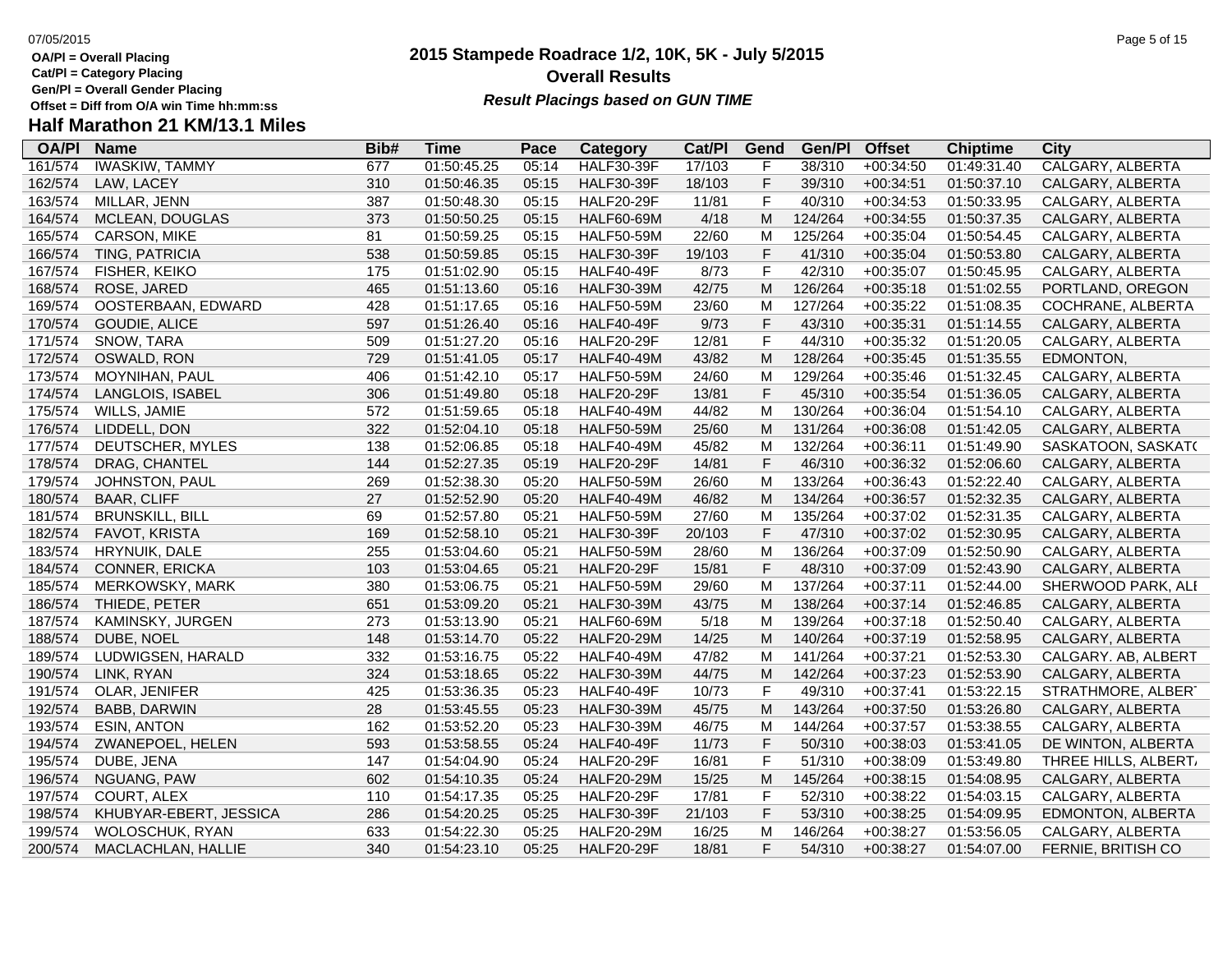**Cat/Pl = Category Placing**

**Gen/Pl = Overall Gender Placing**

# **Overall Results Result Placings based on GUN TIME**

# **Half Marathon 21 KM/13.1 Miles**

| <b>OA/PI</b> | <b>Name</b>            | Bib# | Time        | Pace  | Category          | Cat/PI | Gend        | Gen/Pl  | <b>Offset</b> | <b>Chiptime</b> | City                    |
|--------------|------------------------|------|-------------|-------|-------------------|--------|-------------|---------|---------------|-----------------|-------------------------|
| 161/574      | <b>IWASKIW, TAMMY</b>  | 677  | 01:50:45.25 | 05:14 | <b>HALF30-39F</b> | 17/103 | F           | 38/310  | $+00:34:50$   | 01:49:31.40     | <b>CALGARY, ALBERTA</b> |
| 162/574      | LAW, LACEY             | 310  | 01:50:46.35 | 05:15 | <b>HALF30-39F</b> | 18/103 | $\mathsf F$ | 39/310  | $+00:34:51$   | 01:50:37.10     | CALGARY, ALBERTA        |
| 163/574      | MILLAR, JENN           | 387  | 01:50:48.30 | 05:15 | <b>HALF20-29F</b> | 11/81  | F           | 40/310  | $+00:34:53$   | 01:50:33.95     | CALGARY, ALBERTA        |
| 164/574      | <b>MCLEAN, DOUGLAS</b> | 373  | 01:50:50.25 | 05:15 | <b>HALF60-69M</b> | 4/18   | M           | 124/264 | $+00:34:55$   | 01:50:37.35     | CALGARY, ALBERTA        |
| 165/574      | CARSON, MIKE           | 81   | 01:50:59.25 | 05:15 | <b>HALF50-59M</b> | 22/60  | M           | 125/264 | $+00:35:04$   | 01:50:54.45     | CALGARY, ALBERTA        |
| 166/574      | TING, PATRICIA         | 538  | 01:50:59.85 | 05:15 | <b>HALF30-39F</b> | 19/103 | $\mathsf F$ | 41/310  | $+00:35:04$   | 01:50:53.80     | CALGARY, ALBERTA        |
| 167/574      | FISHER, KEIKO          | 175  | 01:51:02.90 | 05:15 | <b>HALF40-49F</b> | 8/73   | F           | 42/310  | $+00:35:07$   | 01:50:45.95     | CALGARY, ALBERTA        |
| 168/574      | ROSE, JARED            | 465  | 01:51:13.60 | 05:16 | <b>HALF30-39M</b> | 42/75  | M           | 126/264 | $+00:35:18$   | 01:51:02.55     | PORTLAND, OREGON        |
| 169/574      | OOSTERBAAN, EDWARD     | 428  | 01:51:17.65 | 05:16 | <b>HALF50-59M</b> | 23/60  | M           | 127/264 | $+00:35:22$   | 01:51:08.35     | COCHRANE, ALBERTA       |
| 170/574      | GOUDIE, ALICE          | 597  | 01:51:26.40 | 05:16 | <b>HALF40-49F</b> | 9/73   | F           | 43/310  | $+00:35:31$   | 01:51:14.55     | CALGARY, ALBERTA        |
| 171/574      | SNOW, TARA             | 509  | 01:51:27.20 | 05:16 | <b>HALF20-29F</b> | 12/81  | F           | 44/310  | $+00:35:32$   | 01:51:20.05     | CALGARY, ALBERTA        |
| 172/574      | OSWALD, RON            | 729  | 01:51:41.05 | 05:17 | <b>HALF40-49M</b> | 43/82  | M           | 128/264 | $+00:35:45$   | 01:51:35.55     | EDMONTON,               |
| 173/574      | MOYNIHAN, PAUL         | 406  | 01:51:42.10 | 05:17 | <b>HALF50-59M</b> | 24/60  | M           | 129/264 | $+00:35:46$   | 01:51:32.45     | CALGARY, ALBERTA        |
| 174/574      | LANGLOIS, ISABEL       | 306  | 01:51:49.80 | 05:18 | <b>HALF20-29F</b> | 13/81  | F           | 45/310  | $+00:35:54$   | 01:51:36.05     | CALGARY, ALBERTA        |
| 175/574      | WILLS, JAMIE           | 572  | 01:51:59.65 | 05:18 | <b>HALF40-49M</b> | 44/82  | M           | 130/264 | $+00:36:04$   | 01:51:54.10     | CALGARY, ALBERTA        |
| 176/574      | LIDDELL, DON           | 322  | 01:52:04.10 | 05:18 | <b>HALF50-59M</b> | 25/60  | M           | 131/264 | $+00:36:08$   | 01:51:42.05     | CALGARY, ALBERTA        |
| 177/574      | DEUTSCHER, MYLES       | 138  | 01:52:06.85 | 05:18 | <b>HALF40-49M</b> | 45/82  | M           | 132/264 | $+00:36:11$   | 01:51:49.90     | SASKATOON, SASKAT(      |
| 178/574      | DRAG, CHANTEL          | 144  | 01:52:27.35 | 05:19 | <b>HALF20-29F</b> | 14/81  | F           | 46/310  | $+00:36:32$   | 01:52:06.60     | CALGARY, ALBERTA        |
| 179/574      | JOHNSTON, PAUL         | 269  | 01:52:38.30 | 05:20 | <b>HALF50-59M</b> | 26/60  | M           | 133/264 | $+00:36:43$   | 01:52:22.40     | CALGARY, ALBERTA        |
| 180/574      | <b>BAAR, CLIFF</b>     | 27   | 01:52:52.90 | 05:20 | <b>HALF40-49M</b> | 46/82  | M           | 134/264 | $+00:36:57$   | 01:52:32.35     | CALGARY, ALBERTA        |
| 181/574      | <b>BRUNSKILL, BILL</b> | 69   | 01:52:57.80 | 05:21 | <b>HALF50-59M</b> | 27/60  | M           | 135/264 | $+00:37:02$   | 01:52:31.35     | CALGARY, ALBERTA        |
| 182/574      | FAVOT, KRISTA          | 169  | 01:52:58.10 | 05:21 | <b>HALF30-39F</b> | 20/103 | $\mathsf F$ | 47/310  | $+00:37:02$   | 01:52:30.95     | CALGARY, ALBERTA        |
| 183/574      | HRYNUIK, DALE          | 255  | 01:53:04.60 | 05:21 | <b>HALF50-59M</b> | 28/60  | M           | 136/264 | $+00:37:09$   | 01:52:50.90     | CALGARY, ALBERTA        |
| 184/574      | <b>CONNER, ERICKA</b>  | 103  | 01:53:04.65 | 05:21 | <b>HALF20-29F</b> | 15/81  | F           | 48/310  | +00:37:09     | 01:52:43.90     | CALGARY, ALBERTA        |
| 185/574      | MERKOWSKY, MARK        | 380  | 01:53:06.75 | 05:21 | <b>HALF50-59M</b> | 29/60  | M           | 137/264 | $+00:37:11$   | 01:52:44.00     | SHERWOOD PARK, ALI      |
| 186/574      | THIEDE, PETER          | 651  | 01:53:09.20 | 05:21 | <b>HALF30-39M</b> | 43/75  | M           | 138/264 | $+00:37:14$   | 01:52:46.85     | CALGARY, ALBERTA        |
| 187/574      | KAMINSKY, JURGEN       | 273  | 01:53:13.90 | 05:21 | <b>HALF60-69M</b> | 5/18   | M           | 139/264 | $+00:37:18$   | 01:52:50.40     | CALGARY, ALBERTA        |
| 188/574      | DUBE, NOEL             | 148  | 01:53:14.70 | 05:22 | <b>HALF20-29M</b> | 14/25  | M           | 140/264 | $+00:37:19$   | 01:52:58.95     | CALGARY, ALBERTA        |
| 189/574      | LUDWIGSEN, HARALD      | 332  | 01:53:16.75 | 05:22 | <b>HALF40-49M</b> | 47/82  | M           | 141/264 | $+00:37:21$   | 01:52:53.30     | CALGARY. AB, ALBERT     |
| 190/574      | LINK, RYAN             | 324  | 01:53:18.65 | 05:22 | <b>HALF30-39M</b> | 44/75  | M           | 142/264 | $+00:37:23$   | 01:52:53.90     | CALGARY, ALBERTA        |
| 191/574      | OLAR, JENIFER          | 425  | 01:53:36.35 | 05:23 | <b>HALF40-49F</b> | 10/73  | F           | 49/310  | $+00:37:41$   | 01:53:22.15     | STRATHMORE, ALBERT      |
| 192/574      | <b>BABB, DARWIN</b>    | 28   | 01:53:45.55 | 05:23 | <b>HALF30-39M</b> | 45/75  | M           | 143/264 | $+00:37:50$   | 01:53:26.80     | CALGARY, ALBERTA        |
| 193/574      | <b>ESIN, ANTON</b>     | 162  | 01:53:52.20 | 05:23 | <b>HALF30-39M</b> | 46/75  | M           | 144/264 | $+00:37:57$   | 01:53:38.55     | CALGARY, ALBERTA        |
| 194/574      | ZWANEPOEL, HELEN       | 593  | 01:53:58.55 | 05:24 | <b>HALF40-49F</b> | 11/73  | F           | 50/310  | $+00:38:03$   | 01:53:41.05     | DE WINTON, ALBERTA      |
| 195/574      | DUBE, JENA             | 147  | 01:54:04.90 | 05:24 | <b>HALF20-29F</b> | 16/81  | F           | 51/310  | $+00:38:09$   | 01:53:49.80     | THREE HILLS, ALBERT.    |
| 196/574      | NGUANG, PAW            | 602  | 01:54:10.35 | 05:24 | <b>HALF20-29M</b> | 15/25  | M           | 145/264 | $+00:38:15$   | 01:54:08.95     | CALGARY, ALBERTA        |
| 197/574      | COURT, ALEX            | 110  | 01:54:17.35 | 05:25 | <b>HALF20-29F</b> | 17/81  | $\mathsf F$ | 52/310  | $+00:38:22$   | 01:54:03.15     | CALGARY, ALBERTA        |
| 198/574      | KHUBYAR-EBERT, JESSICA | 286  | 01:54:20.25 | 05:25 | <b>HALF30-39F</b> | 21/103 | $\mathsf F$ | 53/310  | $+00:38:25$   | 01:54:09.95     | EDMONTON, ALBERTA       |
| 199/574      | <b>WOLOSCHUK, RYAN</b> | 633  | 01:54:22.30 | 05:25 | <b>HALF20-29M</b> | 16/25  | M           | 146/264 | $+00:38:27$   | 01:53:56.05     | CALGARY, ALBERTA        |
| 200/574      | MACLACHLAN, HALLIE     | 340  | 01:54:23.10 | 05:25 | <b>HALF20-29F</b> | 18/81  | F           | 54/310  | $+00:38:27$   | 01:54:07.00     | FERNIE, BRITISH CO      |
|              |                        |      |             |       |                   |        |             |         |               |                 |                         |

**2015 Stampede Roadrace 1/2, 10K, 5K - July 5/2015**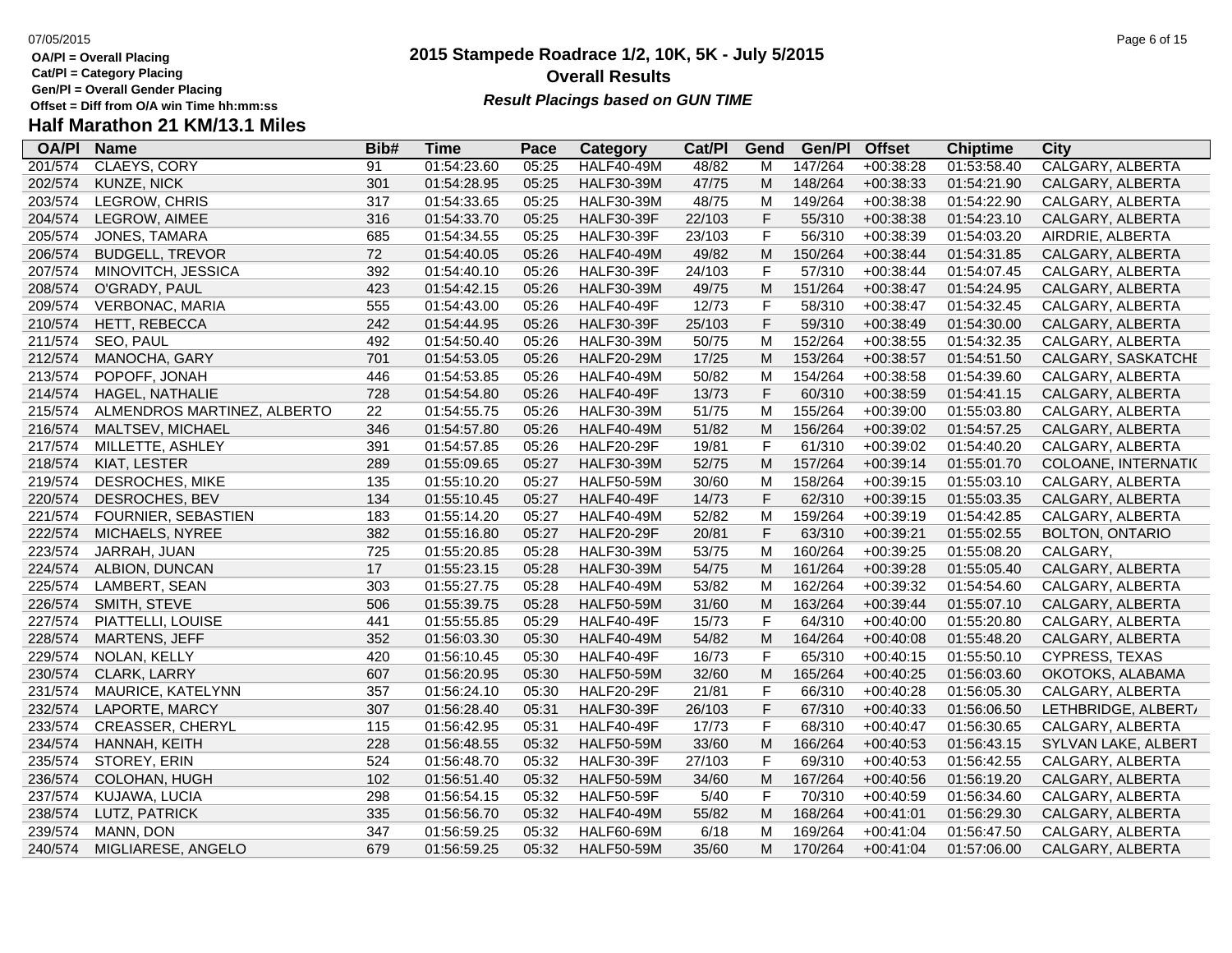**Cat/Pl = Category Placing**

**Gen/Pl = Overall Gender Placing**

### **2015 Stampede Roadrace 1/2, 10K, 5K - July 5/2015** 07/05/2015 Page 6 of 15 **Overall Results Result Placings based on GUN TIME**

| <b>OA/PI</b> | <b>Name</b>                 | Bib# | <b>Time</b> | Pace  | Category          | Cat/PI | Gend         | Gen/Pl  | <b>Offset</b> | <b>Chiptime</b> | City                   |
|--------------|-----------------------------|------|-------------|-------|-------------------|--------|--------------|---------|---------------|-----------------|------------------------|
| 201/574      | CLAEYS, CORY                | 91   | 01:54:23.60 | 05:25 | <b>HALF40-49M</b> | 48/82  | M            | 147/264 | $+00:38:28$   | 01:53:58.40     | CALGARY, ALBERTA       |
| 202/574      | KUNZE, NICK                 | 301  | 01:54:28.95 | 05:25 | <b>HALF30-39M</b> | 47/75  | M            | 148/264 | $+00:38:33$   | 01:54:21.90     | CALGARY, ALBERTA       |
| 203/574      | LEGROW, CHRIS               | 317  | 01:54:33.65 | 05:25 | <b>HALF30-39M</b> | 48/75  | М            | 149/264 | $+00:38:38$   | 01:54:22.90     | CALGARY, ALBERTA       |
| 204/574      | LEGROW, AIMEE               | 316  | 01:54:33.70 | 05:25 | <b>HALF30-39F</b> | 22/103 | F            | 55/310  | $+00:38:38$   | 01:54:23.10     | CALGARY, ALBERTA       |
| 205/574      | JONES, TAMARA               | 685  | 01:54:34.55 | 05:25 | <b>HALF30-39F</b> | 23/103 | F            | 56/310  | $+00:38:39$   | 01:54:03.20     | AIRDRIE, ALBERTA       |
| 206/574      | <b>BUDGELL, TREVOR</b>      | 72   | 01:54:40.05 | 05:26 | <b>HALF40-49M</b> | 49/82  | M            | 150/264 | $+00:38:44$   | 01:54:31.85     | CALGARY, ALBERTA       |
| 207/574      | MINOVITCH, JESSICA          | 392  | 01:54:40.10 | 05:26 | <b>HALF30-39F</b> | 24/103 | F            | 57/310  | $+00:38:44$   | 01:54:07.45     | CALGARY, ALBERTA       |
| 208/574      | O'GRADY, PAUL               | 423  | 01:54:42.15 | 05:26 | <b>HALF30-39M</b> | 49/75  | M            | 151/264 | $+00:38:47$   | 01:54:24.95     | CALGARY, ALBERTA       |
| 209/574      | VERBONAC, MARIA             | 555  | 01:54:43.00 | 05:26 | <b>HALF40-49F</b> | 12/73  | F            | 58/310  | $+00:38:47$   | 01:54:32.45     | CALGARY, ALBERTA       |
| 210/574      | HETT, REBECCA               | 242  | 01:54:44.95 | 05:26 | <b>HALF30-39F</b> | 25/103 | $\mathsf F$  | 59/310  | $+00:38:49$   | 01:54:30.00     | CALGARY, ALBERTA       |
| 211/574      | SEO, PAUL                   | 492  | 01:54:50.40 | 05:26 | <b>HALF30-39M</b> | 50/75  | М            | 152/264 | $+00:38:55$   | 01:54:32.35     | CALGARY, ALBERTA       |
| 212/574      | MANOCHA, GARY               | 701  | 01:54:53.05 | 05:26 | <b>HALF20-29M</b> | 17/25  | M            | 153/264 | $+00:38:57$   | 01:54:51.50     | CALGARY, SASKATCHI     |
| 213/574      | POPOFF, JONAH               | 446  | 01:54:53.85 | 05:26 | <b>HALF40-49M</b> | 50/82  | М            | 154/264 | $+00:38:58$   | 01:54:39.60     | CALGARY, ALBERTA       |
| 214/574      | HAGEL, NATHALIE             | 728  | 01:54:54.80 | 05:26 | <b>HALF40-49F</b> | 13/73  | F            | 60/310  | $+00:38:59$   | 01:54:41.15     | CALGARY, ALBERTA       |
| 215/574      | ALMENDROS MARTINEZ, ALBERTO | 22   | 01:54:55.75 | 05:26 | <b>HALF30-39M</b> | 51/75  | M            | 155/264 | $+00:39:00$   | 01:55:03.80     | CALGARY, ALBERTA       |
| 216/574      | MALTSEV, MICHAEL            | 346  | 01:54:57.80 | 05:26 | <b>HALF40-49M</b> | 51/82  | M            | 156/264 | $+00:39:02$   | 01:54:57.25     | CALGARY, ALBERTA       |
| 217/574      | MILLETTE, ASHLEY            | 391  | 01:54:57.85 | 05:26 | <b>HALF20-29F</b> | 19/81  | F            | 61/310  | $+00:39:02$   | 01:54:40.20     | CALGARY, ALBERTA       |
| 218/574      | KIAT, LESTER                | 289  | 01:55:09.65 | 05:27 | <b>HALF30-39M</b> | 52/75  | M            | 157/264 | $+00:39:14$   | 01:55:01.70     | COLOANE, INTERNATI(    |
| 219/574      | DESROCHES, MIKE             | 135  | 01:55:10.20 | 05:27 | <b>HALF50-59M</b> | 30/60  | M            | 158/264 | $+00:39:15$   | 01:55:03.10     | CALGARY, ALBERTA       |
| 220/574      | DESROCHES, BEV              | 134  | 01:55:10.45 | 05:27 | HALF40-49F        | 14/73  | F            | 62/310  | $+00:39:15$   | 01:55:03.35     | CALGARY, ALBERTA       |
| 221/574      | FOURNIER, SEBASTIEN         | 183  | 01:55:14.20 | 05:27 | <b>HALF40-49M</b> | 52/82  | М            | 159/264 | $+00:39:19$   | 01:54:42.85     | CALGARY, ALBERTA       |
| 222/574      | MICHAELS, NYREE             | 382  | 01:55:16.80 | 05:27 | <b>HALF20-29F</b> | 20/81  | F            | 63/310  | $+00:39:21$   | 01:55:02.55     | <b>BOLTON, ONTARIO</b> |
| 223/574      | JARRAH, JUAN                | 725  | 01:55:20.85 | 05:28 | <b>HALF30-39M</b> | 53/75  | М            | 160/264 | $+00:39:25$   | 01:55:08.20     | CALGARY,               |
| 224/574      | ALBION, DUNCAN              | 17   | 01:55:23.15 | 05:28 | <b>HALF30-39M</b> | 54/75  | M            | 161/264 | $+00:39:28$   | 01:55:05.40     | CALGARY, ALBERTA       |
| 225/574      | LAMBERT, SEAN               | 303  | 01:55:27.75 | 05:28 | <b>HALF40-49M</b> | 53/82  | M            | 162/264 | $+00:39:32$   | 01:54:54.60     | CALGARY, ALBERTA       |
| 226/574      | SMITH, STEVE                | 506  | 01:55:39.75 | 05:28 | <b>HALF50-59M</b> | 31/60  | M            | 163/264 | $+00:39:44$   | 01:55:07.10     | CALGARY, ALBERTA       |
| 227/574      | PIATTELLI, LOUISE           | 441  | 01:55:55.85 | 05:29 | <b>HALF40-49F</b> | 15/73  | $\mathsf F$  | 64/310  | $+00:40:00$   | 01:55:20.80     | CALGARY, ALBERTA       |
| 228/574      | <b>MARTENS, JEFF</b>        | 352  | 01:56:03.30 | 05:30 | <b>HALF40-49M</b> | 54/82  | M            | 164/264 | $+00:40:08$   | 01:55:48.20     | CALGARY, ALBERTA       |
| 229/574      | NOLAN, KELLY                | 420  | 01:56:10.45 | 05:30 | <b>HALF40-49F</b> | 16/73  | F            | 65/310  | $+00:40:15$   | 01:55:50.10     | <b>CYPRESS, TEXAS</b>  |
| 230/574      | CLARK, LARRY                | 607  | 01:56:20.95 | 05:30 | <b>HALF50-59M</b> | 32/60  | M            | 165/264 | $+00:40:25$   | 01:56:03.60     | OKOTOKS, ALABAMA       |
| 231/574      | MAURICE, KATELYNN           | 357  | 01:56:24.10 | 05:30 | <b>HALF20-29F</b> | 21/81  | F            | 66/310  | $+00:40:28$   | 01:56:05.30     | CALGARY, ALBERTA       |
| 232/574      | LAPORTE, MARCY              | 307  | 01:56:28.40 | 05:31 | <b>HALF30-39F</b> | 26/103 | F            | 67/310  | $+00:40:33$   | 01:56:06.50     | LETHBRIDGE, ALBERT/    |
| 233/574      | <b>CREASSER, CHERYL</b>     | 115  | 01:56:42.95 | 05:31 | <b>HALF40-49F</b> | 17/73  | F            | 68/310  | $+00:40:47$   | 01:56:30.65     | CALGARY, ALBERTA       |
| 234/574      | HANNAH, KEITH               | 228  | 01:56:48.55 | 05:32 | <b>HALF50-59M</b> | 33/60  | M            | 166/264 | $+00:40:53$   | 01:56:43.15     | SYLVAN LAKE, ALBERT    |
| 235/574      | STOREY, ERIN                | 524  | 01:56:48.70 | 05:32 | <b>HALF30-39F</b> | 27/103 | $\mathsf{F}$ | 69/310  | $+00:40:53$   | 01:56:42.55     | CALGARY, ALBERTA       |
| 236/574      | <b>COLOHAN, HUGH</b>        | 102  | 01:56:51.40 | 05:32 | <b>HALF50-59M</b> | 34/60  | M            | 167/264 | $+00:40:56$   | 01:56:19.20     | CALGARY, ALBERTA       |
| 237/574      | KUJAWA, LUCIA               | 298  | 01:56:54.15 | 05:32 | <b>HALF50-59F</b> | 5/40   | F            | 70/310  | $+00:40:59$   | 01:56:34.60     | CALGARY, ALBERTA       |
| 238/574      | LUTZ, PATRICK               | 335  | 01:56:56.70 | 05:32 | <b>HALF40-49M</b> | 55/82  | M            | 168/264 | $+00:41:01$   | 01:56:29.30     | CALGARY, ALBERTA       |
| 239/574      | MANN, DON                   | 347  | 01:56:59.25 | 05:32 | <b>HALF60-69M</b> | 6/18   | М            | 169/264 | $+00:41:04$   | 01:56:47.50     | CALGARY, ALBERTA       |
| 240/574      | MIGLIARESE, ANGELO          | 679  | 01:56:59.25 | 05:32 | <b>HALF50-59M</b> | 35/60  | M            | 170/264 | $+00:41:04$   | 01:57:06.00     | CALGARY, ALBERTA       |
|              |                             |      |             |       |                   |        |              |         |               |                 |                        |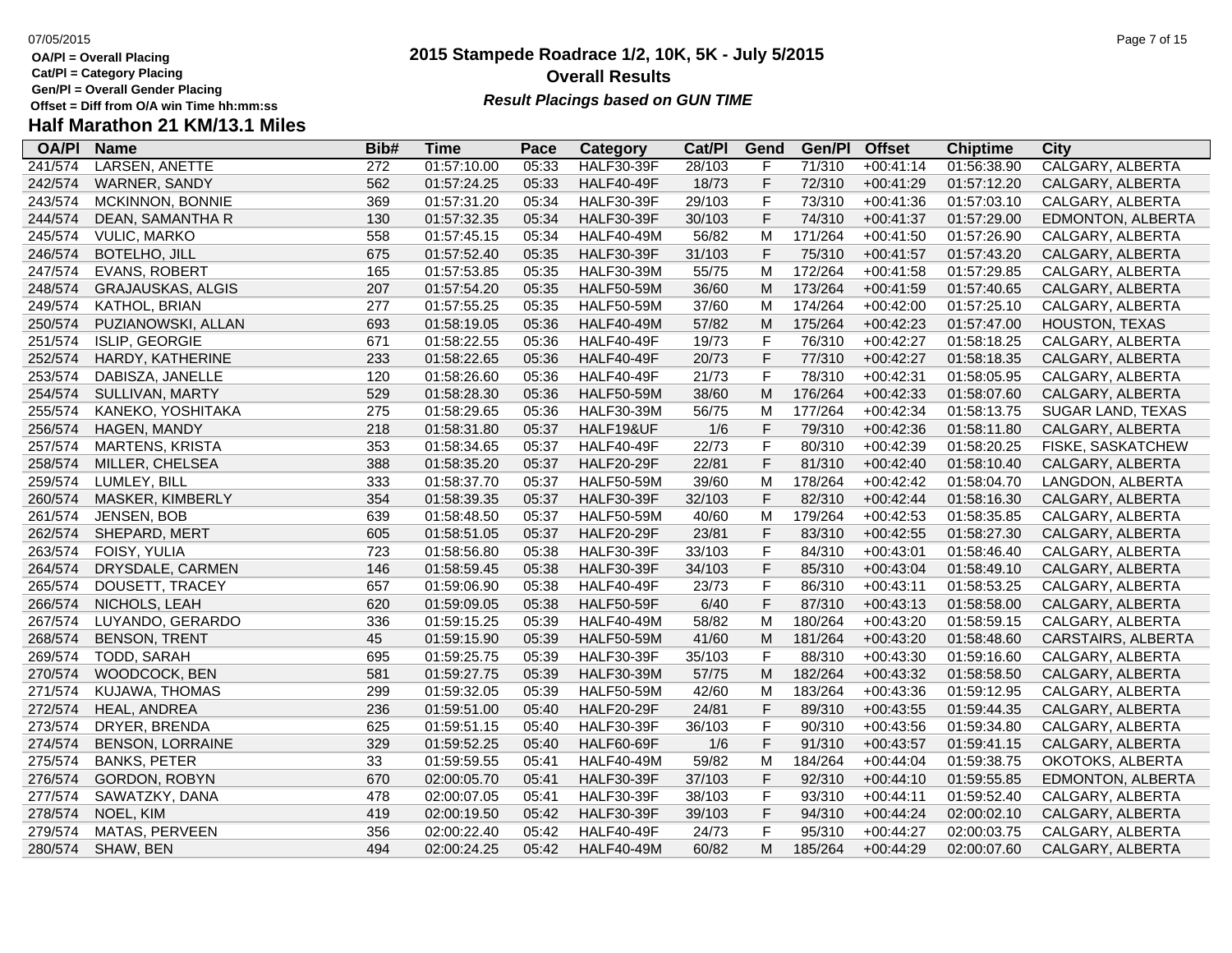- **Cat/Pl = Category Placing**
- **Gen/Pl = Overall Gender Placing**
- 

# **Half Marathon 21 KM/13.1 Miles**

| <b>OA/PI</b> | <b>Name</b>              | Bib# | <b>Time</b> | Pace  | Category          | Cat/PI | Gend        | Gen/Pl  | <b>Offset</b> | <b>Chiptime</b> | <b>City</b>             |
|--------------|--------------------------|------|-------------|-------|-------------------|--------|-------------|---------|---------------|-----------------|-------------------------|
| 241/574      | <b>LARSEN, ANETTE</b>    | 272  | 01:57:10.00 | 05:33 | <b>HALF30-39F</b> | 28/103 | F           | 71/310  | $+00:41:14$   | 01:56:38.90     | <b>CALGARY, ALBERTA</b> |
| 242/574      | WARNER, SANDY            | 562  | 01:57:24.25 | 05:33 | <b>HALF40-49F</b> | 18/73  | F           | 72/310  | $+00:41:29$   | 01:57:12.20     | CALGARY, ALBERTA        |
| 243/574      | MCKINNON, BONNIE         | 369  | 01:57:31.20 | 05:34 | <b>HALF30-39F</b> | 29/103 | F           | 73/310  | $+00:41:36$   | 01:57:03.10     | CALGARY, ALBERTA        |
| 244/574      | DEAN, SAMANTHA R         | 130  | 01:57:32.35 | 05:34 | <b>HALF30-39F</b> | 30/103 | $\mathsf F$ | 74/310  | $+00:41:37$   | 01:57:29.00     | EDMONTON, ALBERTA       |
| 245/574      | <b>VULIC, MARKO</b>      | 558  | 01:57:45.15 | 05:34 | <b>HALF40-49M</b> | 56/82  | M           | 171/264 | $+00:41:50$   | 01:57:26.90     | CALGARY, ALBERTA        |
| 246/574      | <b>BOTELHO, JILL</b>     | 675  | 01:57:52.40 | 05:35 | <b>HALF30-39F</b> | 31/103 | F           | 75/310  | $+00:41:57$   | 01:57:43.20     | CALGARY, ALBERTA        |
| 247/574      | <b>EVANS, ROBERT</b>     | 165  | 01:57:53.85 | 05:35 | <b>HALF30-39M</b> | 55/75  | M           | 172/264 | $+00:41:58$   | 01:57:29.85     | CALGARY, ALBERTA        |
| 248/574      | <b>GRAJAUSKAS, ALGIS</b> | 207  | 01:57:54.20 | 05:35 | <b>HALF50-59M</b> | 36/60  | M           | 173/264 | $+00:41:59$   | 01:57:40.65     | CALGARY, ALBERTA        |
| 249/574      | KATHOL, BRIAN            | 277  | 01:57:55.25 | 05:35 | <b>HALF50-59M</b> | 37/60  | M           | 174/264 | $+00:42:00$   | 01:57:25.10     | CALGARY, ALBERTA        |
| 250/574      | PUZIANOWSKI, ALLAN       | 693  | 01:58:19.05 | 05:36 | <b>HALF40-49M</b> | 57/82  | M           | 175/264 | $+00:42:23$   | 01:57:47.00     | <b>HOUSTON, TEXAS</b>   |
| 251/574      | ISLIP, GEORGIE           | 671  | 01:58:22.55 | 05:36 | <b>HALF40-49F</b> | 19/73  | $\mathsf F$ | 76/310  | $+00:42:27$   | 01:58:18.25     | CALGARY, ALBERTA        |
| 252/574      | HARDY, KATHERINE         | 233  | 01:58:22.65 | 05:36 | <b>HALF40-49F</b> | 20/73  | $\mathsf F$ | 77/310  | $+00:42:27$   | 01:58:18.35     | CALGARY, ALBERTA        |
| 253/574      | DABISZA, JANELLE         | 120  | 01:58:26.60 | 05:36 | <b>HALF40-49F</b> | 21/73  | F           | 78/310  | $+00:42:31$   | 01:58:05.95     | CALGARY, ALBERTA        |
| 254/574      | SULLIVAN, MARTY          | 529  | 01:58:28.30 | 05:36 | <b>HALF50-59M</b> | 38/60  | M           | 176/264 | $+00:42:33$   | 01:58:07.60     | CALGARY, ALBERTA        |
| 255/574      | KANEKO, YOSHITAKA        | 275  | 01:58:29.65 | 05:36 | <b>HALF30-39M</b> | 56/75  | M           | 177/264 | $+00:42:34$   | 01:58:13.75     | SUGAR LAND, TEXAS       |
| 256/574      | HAGEN, MANDY             | 218  | 01:58:31.80 | 05:37 | HALF19&UF         | 1/6    | $\mathsf F$ | 79/310  | $+00:42:36$   | 01:58:11.80     | CALGARY, ALBERTA        |
| 257/574      | <b>MARTENS, KRISTA</b>   | 353  | 01:58:34.65 | 05:37 | <b>HALF40-49F</b> | 22/73  | $\mathsf F$ | 80/310  | $+00:42:39$   | 01:58:20.25     | FISKE, SASKATCHEW       |
| 258/574      | MILLER, CHELSEA          | 388  | 01:58:35.20 | 05:37 | <b>HALF20-29F</b> | 22/81  | $\mathsf F$ | 81/310  | $+00:42:40$   | 01:58:10.40     | CALGARY, ALBERTA        |
| 259/574      | LUMLEY, BILL             | 333  | 01:58:37.70 | 05:37 | <b>HALF50-59M</b> | 39/60  | M           | 178/264 | $+00:42:42$   | 01:58:04.70     | LANGDON, ALBERTA        |
| 260/574      | MASKER, KIMBERLY         | 354  | 01:58:39.35 | 05:37 | <b>HALF30-39F</b> | 32/103 | $\mathsf F$ | 82/310  | $+00:42:44$   | 01:58:16.30     | CALGARY, ALBERTA        |
| 261/574      | JENSEN, BOB              | 639  | 01:58:48.50 | 05:37 | <b>HALF50-59M</b> | 40/60  | M           | 179/264 | $+00:42:53$   | 01:58:35.85     | CALGARY, ALBERTA        |
| 262/574      | SHEPARD, MERT            | 605  | 01:58:51.05 | 05:37 | <b>HALF20-29F</b> | 23/81  | $\mathsf F$ | 83/310  | $+00:42:55$   | 01:58:27.30     | CALGARY, ALBERTA        |
| 263/574      | FOISY, YULIA             | 723  | 01:58:56.80 | 05:38 | <b>HALF30-39F</b> | 33/103 | $\mathsf F$ | 84/310  | $+00:43:01$   | 01:58:46.40     | CALGARY, ALBERTA        |
| 264/574      | DRYSDALE, CARMEN         | 146  | 01:58:59.45 | 05:38 | <b>HALF30-39F</b> | 34/103 | $\mathsf F$ | 85/310  | $+00:43:04$   | 01:58:49.10     | CALGARY, ALBERTA        |
| 265/574      | DOUSETT, TRACEY          | 657  | 01:59:06.90 | 05:38 | <b>HALF40-49F</b> | 23/73  | $\mathsf F$ | 86/310  | $+00:43:11$   | 01:58:53.25     | CALGARY, ALBERTA        |
| 266/574      | NICHOLS, LEAH            | 620  | 01:59:09.05 | 05:38 | <b>HALF50-59F</b> | 6/40   | $\mathsf F$ | 87/310  | $+00:43:13$   | 01:58:58.00     | CALGARY, ALBERTA        |
| 267/574      | LUYANDO, GERARDO         | 336  | 01:59:15.25 | 05:39 | <b>HALF40-49M</b> | 58/82  | M           | 180/264 | $+00:43:20$   | 01:58:59.15     | CALGARY, ALBERTA        |
| 268/574      | <b>BENSON, TRENT</b>     | 45   | 01:59:15.90 | 05:39 | <b>HALF50-59M</b> | 41/60  | M           | 181/264 | $+00:43:20$   | 01:58:48.60     | CARSTAIRS, ALBERTA      |
| 269/574      | TODD, SARAH              | 695  | 01:59:25.75 | 05:39 | <b>HALF30-39F</b> | 35/103 | $\mathsf F$ | 88/310  | $+00:43:30$   | 01:59:16.60     | CALGARY, ALBERTA        |
| 270/574      | WOODCOCK, BEN            | 581  | 01:59:27.75 | 05:39 | <b>HALF30-39M</b> | 57/75  | M           | 182/264 | $+00:43:32$   | 01:58:58.50     | CALGARY, ALBERTA        |
| 271/574      | KUJAWA, THOMAS           | 299  | 01:59:32.05 | 05:39 | <b>HALF50-59M</b> | 42/60  | M           | 183/264 | $+00:43:36$   | 01:59:12.95     | CALGARY, ALBERTA        |
| 272/574      | HEAL, ANDREA             | 236  | 01:59:51.00 | 05:40 | <b>HALF20-29F</b> | 24/81  | $\mathsf F$ | 89/310  | $+00:43:55$   | 01:59:44.35     | CALGARY, ALBERTA        |
| 273/574      | DRYER, BRENDA            | 625  | 01:59:51.15 | 05:40 | <b>HALF30-39F</b> | 36/103 | $\mathsf F$ | 90/310  | $+00:43:56$   | 01:59:34.80     | CALGARY, ALBERTA        |
| 274/574      | <b>BENSON, LORRAINE</b>  | 329  | 01:59:52.25 | 05:40 | <b>HALF60-69F</b> | 1/6    | $\mathsf F$ | 91/310  | $+00:43:57$   | 01:59:41.15     | CALGARY, ALBERTA        |
| 275/574      | <b>BANKS, PETER</b>      | 33   | 01:59:59.55 | 05:41 | <b>HALF40-49M</b> | 59/82  | M           | 184/264 | $+00:44:04$   | 01:59:38.75     | OKOTOKS, ALBERTA        |
| 276/574      | GORDON, ROBYN            | 670  | 02:00:05.70 | 05:41 | <b>HALF30-39F</b> | 37/103 | $\mathsf F$ | 92/310  | $+00:44:10$   | 01:59:55.85     | EDMONTON, ALBERTA       |
| 277/574      | SAWATZKY, DANA           | 478  | 02:00:07.05 | 05:41 | <b>HALF30-39F</b> | 38/103 | F           | 93/310  | $+00:44:11$   | 01:59:52.40     | CALGARY, ALBERTA        |
| 278/574      | NOEL, KIM                | 419  | 02:00:19.50 | 05:42 | <b>HALF30-39F</b> | 39/103 | $\mathsf F$ | 94/310  | $+00:44:24$   | 02:00:02.10     | CALGARY, ALBERTA        |
| 279/574      | MATAS, PERVEEN           | 356  | 02:00:22.40 | 05:42 | <b>HALF40-49F</b> | 24/73  | $\mathsf F$ | 95/310  | $+00:44:27$   | 02:00:03.75     | CALGARY, ALBERTA        |
| 280/574      | SHAW, BEN                | 494  | 02:00:24.25 | 05:42 | <b>HALF40-49M</b> | 60/82  | M           | 185/264 | $+00:44:29$   | 02:00:07.60     | CALGARY, ALBERTA        |

### **2015 Stampede Roadrace 1/2, 10K, 5K - July 5/2015** 07/05/2015 Page 7 of 15 **Overall Results Result Placings based on GUN TIME**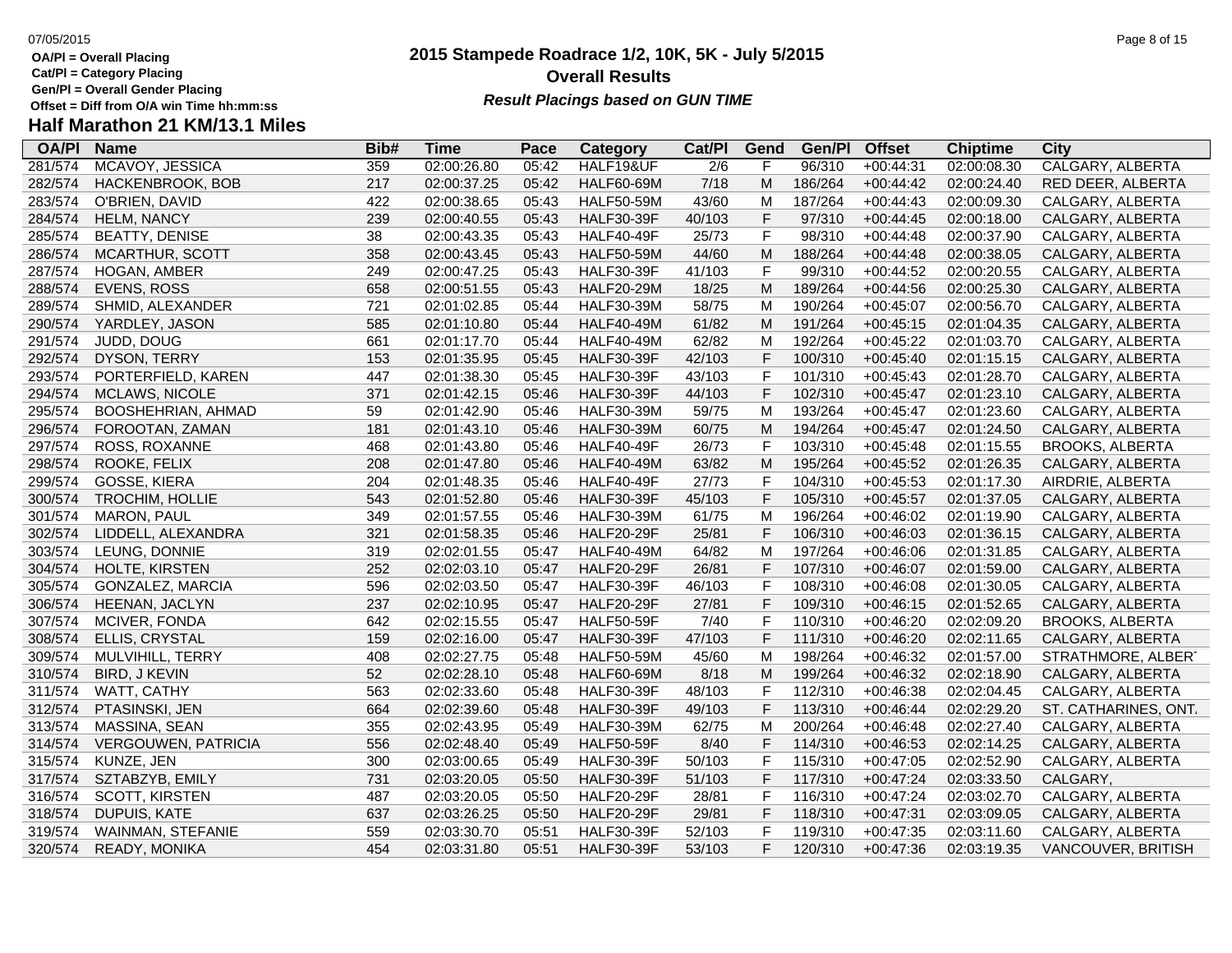**Cat/Pl = Category Placing**

**Gen/Pl = Overall Gender Placing**

### **2015 Stampede Roadrace 1/2, 10K, 5K - July 5/2015** 07/05/2015 Page 8 of 15 **Overall Results Result Placings based on GUN TIME**

| <b>OA/PI</b> | <b>Name</b>                | Bib# | <b>Time</b> | Pace  | Category          | Cat/Pl           | Gend | Gen/Pl  | <b>Offset</b> | <b>Chiptime</b> | City                    |
|--------------|----------------------------|------|-------------|-------|-------------------|------------------|------|---------|---------------|-----------------|-------------------------|
| 281/574      | MCAVOY, JESSICA            | 359  | 02:00:26.80 | 05:42 | HALF19&UF         | $\overline{2/6}$ |      | 96/310  | $+00:44:31$   | 02:00:08.30     | <b>CALGARY, ALBERTA</b> |
| 282/574      | HACKENBROOK, BOB           | 217  | 02:00:37.25 | 05:42 | <b>HALF60-69M</b> | 7/18             | M    | 186/264 | $+00:44:42$   | 02:00:24.40     | RED DEER, ALBERTA       |
| 283/574      | O'BRIEN, DAVID             | 422  | 02:00:38.65 | 05:43 | <b>HALF50-59M</b> | 43/60            | М    | 187/264 | $+00:44:43$   | 02:00:09.30     | CALGARY, ALBERTA        |
| 284/574      | <b>HELM, NANCY</b>         | 239  | 02:00:40.55 | 05:43 | <b>HALF30-39F</b> | 40/103           | F    | 97/310  | $+00:44:45$   | 02:00:18.00     | CALGARY, ALBERTA        |
| 285/574      | <b>BEATTY, DENISE</b>      | 38   | 02:00:43.35 | 05:43 | <b>HALF40-49F</b> | 25/73            | F    | 98/310  | $+00:44:48$   | 02:00:37.90     | CALGARY, ALBERTA        |
| 286/574      | MCARTHUR, SCOTT            | 358  | 02:00:43.45 | 05:43 | <b>HALF50-59M</b> | 44/60            | М    | 188/264 | $+00:44:48$   | 02:00:38.05     | CALGARY, ALBERTA        |
| 287/574      | HOGAN, AMBER               | 249  | 02:00:47.25 | 05:43 | <b>HALF30-39F</b> | 41/103           | F    | 99/310  | $+00:44:52$   | 02:00:20.55     | CALGARY, ALBERTA        |
| 288/574      | EVENS, ROSS                | 658  | 02:00:51.55 | 05:43 | <b>HALF20-29M</b> | 18/25            | M    | 189/264 | $+00:44:56$   | 02:00:25.30     | CALGARY, ALBERTA        |
| 289/574      | SHMID, ALEXANDER           | 721  | 02:01:02.85 | 05:44 | <b>HALF30-39M</b> | 58/75            | м    | 190/264 | $+00:45:07$   | 02:00:56.70     | CALGARY, ALBERTA        |
| 290/574      | YARDLEY, JASON             | 585  | 02:01:10.80 | 05:44 | <b>HALF40-49M</b> | 61/82            | M    | 191/264 | $+00:45:15$   | 02:01:04.35     | CALGARY, ALBERTA        |
| 291/574      | JUDD, DOUG                 | 661  | 02:01:17.70 | 05:44 | <b>HALF40-49M</b> | 62/82            | м    | 192/264 | $+00:45:22$   | 02:01:03.70     | CALGARY, ALBERTA        |
| 292/574      | DYSON, TERRY               | 153  | 02:01:35.95 | 05:45 | <b>HALF30-39F</b> | 42/103           | F    | 100/310 | $+00:45:40$   | 02:01:15.15     | CALGARY, ALBERTA        |
| 293/574      | PORTERFIELD, KAREN         | 447  | 02:01:38.30 | 05:45 | <b>HALF30-39F</b> | 43/103           | F    | 101/310 | $+00:45:43$   | 02:01:28.70     | CALGARY, ALBERTA        |
| 294/574      | <b>MCLAWS, NICOLE</b>      | 371  | 02:01:42.15 | 05:46 | <b>HALF30-39F</b> | 44/103           | F    | 102/310 | $+00:45:47$   | 02:01:23.10     | CALGARY, ALBERTA        |
| 295/574      | BOOSHEHRIAN, AHMAD         | 59   | 02:01:42.90 | 05:46 | <b>HALF30-39M</b> | 59/75            | M    | 193/264 | $+00:45:47$   | 02:01:23.60     | CALGARY, ALBERTA        |
| 296/574      | FOROOTAN, ZAMAN            | 181  | 02:01:43.10 | 05:46 | <b>HALF30-39M</b> | 60/75            | M    | 194/264 | $+00:45:47$   | 02:01:24.50     | CALGARY, ALBERTA        |
| 297/574      | ROSS, ROXANNE              | 468  | 02:01:43.80 | 05:46 | HALF40-49F        | 26/73            | F    | 103/310 | $+00:45:48$   | 02:01:15.55     | <b>BROOKS, ALBERTA</b>  |
| 298/574      | ROOKE, FELIX               | 208  | 02:01:47.80 | 05:46 | <b>HALF40-49M</b> | 63/82            | M    | 195/264 | $+00:45:52$   | 02:01:26.35     | CALGARY, ALBERTA        |
| 299/574      | GOSSE, KIERA               | 204  | 02:01:48.35 | 05:46 | <b>HALF40-49F</b> | 27/73            | F    | 104/310 | $+00:45:53$   | 02:01:17.30     | AIRDRIE, ALBERTA        |
| 300/574      | <b>TROCHIM, HOLLIE</b>     | 543  | 02:01:52.80 | 05:46 | <b>HALF30-39F</b> | 45/103           | F    | 105/310 | $+00:45:57$   | 02:01:37.05     | CALGARY, ALBERTA        |
| 301/574      | MARON, PAUL                | 349  | 02:01:57.55 | 05:46 | <b>HALF30-39M</b> | 61/75            | M    | 196/264 | $+00:46:02$   | 02:01:19.90     | CALGARY, ALBERTA        |
| 302/574      | LIDDELL, ALEXANDRA         | 321  | 02:01:58.35 | 05:46 | <b>HALF20-29F</b> | 25/81            | F    | 106/310 | $+00:46:03$   | 02:01:36.15     | CALGARY, ALBERTA        |
| 303/574      | LEUNG, DONNIE              | 319  | 02:02:01.55 | 05:47 | <b>HALF40-49M</b> | 64/82            | Μ    | 197/264 | $+00:46:06$   | 02:01:31.85     | CALGARY, ALBERTA        |
| 304/574      | HOLTE, KIRSTEN             | 252  | 02:02:03.10 | 05:47 | <b>HALF20-29F</b> | 26/81            | F    | 107/310 | $+00:46:07$   | 02:01:59.00     | CALGARY, ALBERTA        |
| 305/574      | GONZALEZ, MARCIA           | 596  | 02:02:03.50 | 05:47 | <b>HALF30-39F</b> | 46/103           | F    | 108/310 | $+00:46:08$   | 02:01:30.05     | CALGARY, ALBERTA        |
| 306/574      | HEENAN, JACLYN             | 237  | 02:02:10.95 | 05:47 | <b>HALF20-29F</b> | 27/81            | F    | 109/310 | $+00:46:15$   | 02:01:52.65     | CALGARY, ALBERTA        |
| 307/574      | MCIVER, FONDA              | 642  | 02:02:15.55 | 05:47 | <b>HALF50-59F</b> | 7/40             | F    | 110/310 | $+00:46:20$   | 02:02:09.20     | <b>BROOKS, ALBERTA</b>  |
| 308/574      | ELLIS, CRYSTAL             | 159  | 02:02:16.00 | 05:47 | <b>HALF30-39F</b> | 47/103           | F    | 111/310 | $+00:46:20$   | 02:02:11.65     | CALGARY, ALBERTA        |
| 309/574      | MULVIHILL, TERRY           | 408  | 02:02:27.75 | 05:48 | <b>HALF50-59M</b> | 45/60            | м    | 198/264 | $+00:46:32$   | 02:01:57.00     | STRATHMORE, ALBERT      |
| 310/574      | <b>BIRD, J KEVIN</b>       | 52   | 02:02:28.10 | 05:48 | <b>HALF60-69M</b> | 8/18             | M    | 199/264 | $+00:46:32$   | 02:02:18.90     | CALGARY, ALBERTA        |
| 311/574      | WATT, CATHY                | 563  | 02:02:33.60 | 05:48 | <b>HALF30-39F</b> | 48/103           | F    | 112/310 | $+00:46:38$   | 02:02:04.45     | CALGARY, ALBERTA        |
| 312/574      | PTASINSKI, JEN             | 664  | 02:02:39.60 | 05:48 | <b>HALF30-39F</b> | 49/103           | F    | 113/310 | $+00:46:44$   | 02:02:29.20     | ST. CATHARINES, ONT.    |
| 313/574      | MASSINA, SEAN              | 355  | 02:02:43.95 | 05:49 | <b>HALF30-39M</b> | 62/75            | M    | 200/264 | $+00:46:48$   | 02:02:27.40     | CALGARY, ALBERTA        |
| 314/574      | <b>VERGOUWEN, PATRICIA</b> | 556  | 02:02:48.40 | 05:49 | <b>HALF50-59F</b> | 8/40             | F    | 114/310 | $+00:46:53$   | 02:02:14.25     | CALGARY, ALBERTA        |
| 315/574      | KUNZE, JEN                 | 300  | 02:03:00.65 | 05:49 | <b>HALF30-39F</b> | 50/103           | F    | 115/310 | $+00:47:05$   | 02:02:52.90     | CALGARY, ALBERTA        |
| 317/574      | SZTABZYB, EMILY            | 731  | 02:03:20.05 | 05:50 | <b>HALF30-39F</b> | 51/103           | F    | 117/310 | $+00:47:24$   | 02:03:33.50     | CALGARY,                |
| 316/574      | SCOTT, KIRSTEN             | 487  | 02:03:20.05 | 05:50 | <b>HALF20-29F</b> | 28/81            |      | 116/310 | $+00:47:24$   | 02:03:02.70     | CALGARY, ALBERTA        |
| 318/574      | DUPUIS, KATE               | 637  | 02:03:26.25 | 05:50 | <b>HALF20-29F</b> | 29/81            | F    | 118/310 | $+00:47:31$   | 02:03:09.05     | CALGARY, ALBERTA        |
| 319/574      | <b>WAINMAN, STEFANIE</b>   | 559  | 02:03:30.70 | 05:51 | <b>HALF30-39F</b> | 52/103           | F    | 119/310 | $+00:47:35$   | 02:03:11.60     | CALGARY, ALBERTA        |
| 320/574      | READY, MONIKA              | 454  | 02:03:31.80 | 05:51 | <b>HALF30-39F</b> | 53/103           | F    | 120/310 | $+00:47:36$   | 02:03:19.35     | VANCOUVER, BRITISH      |
|              |                            |      |             |       |                   |                  |      |         |               |                 |                         |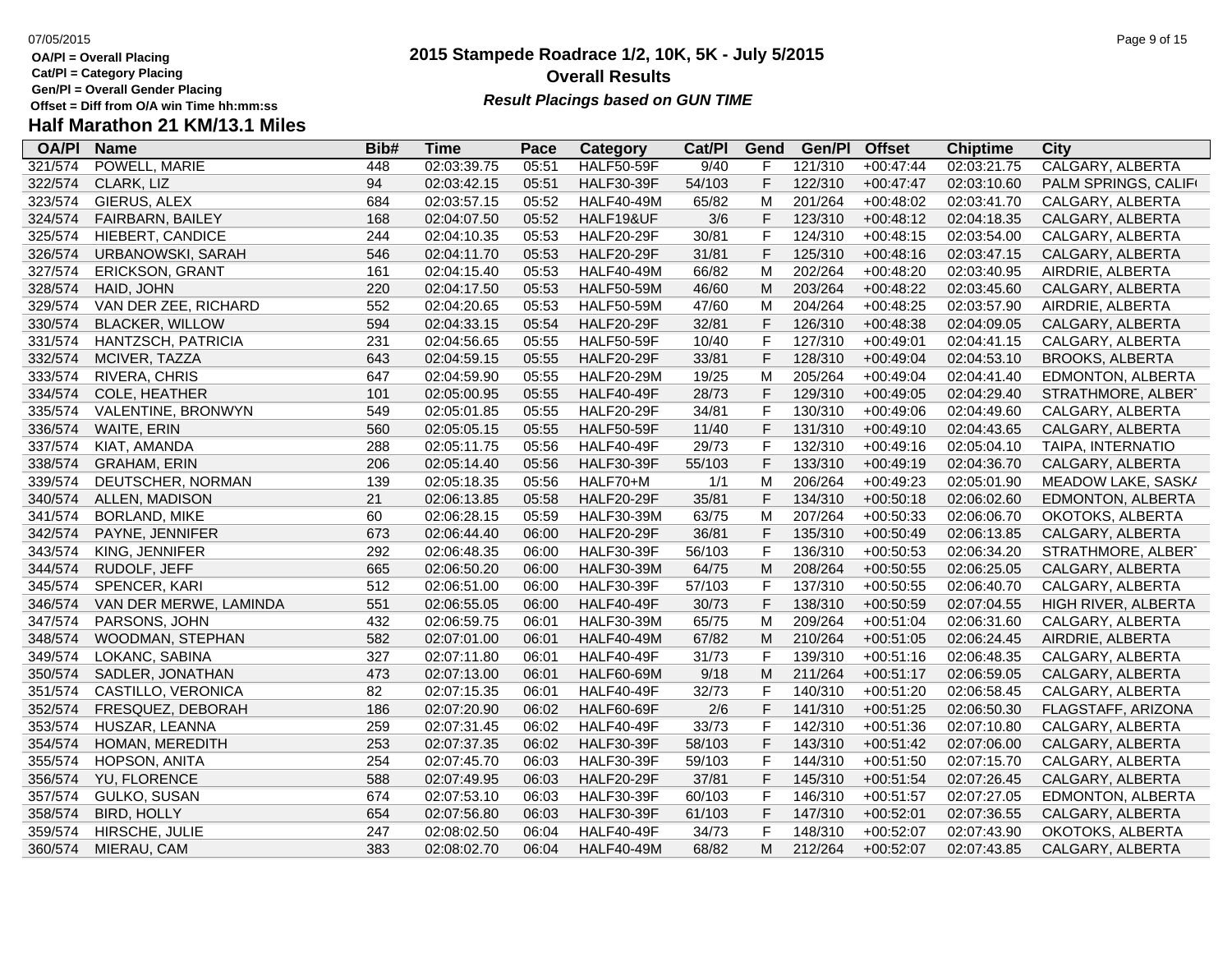- **Cat/Pl = Category Placing**
- **Gen/Pl = Overall Gender Placing**
- 

# **Half Marathon 21 KM/13.1 Miles**

| <b>OA/PI</b> | <b>Name</b>            | Bib# | <b>Time</b> | Pace  | <b>Category</b>   | Cat/Pl | Gend | Gen/Pl  | <b>Offset</b> | <b>Chiptime</b> | <b>City</b>             |
|--------------|------------------------|------|-------------|-------|-------------------|--------|------|---------|---------------|-----------------|-------------------------|
| 321/574      | POWELL, MARIE          | 448  | 02:03:39.75 | 05:51 | <b>HALF50-59F</b> | 9/40   | F    | 121/310 | $+00:47:44$   | 02:03:21.75     | <b>CALGARY, ALBERTA</b> |
| 322/574      | CLARK, LIZ             | 94   | 02:03:42.15 | 05:51 | <b>HALF30-39F</b> | 54/103 | F    | 122/310 | $+00:47:47$   | 02:03:10.60     | PALM SPRINGS, CALIFI    |
| 323/574      | GIERUS, ALEX           | 684  | 02:03:57.15 | 05:52 | <b>HALF40-49M</b> | 65/82  | M    | 201/264 | $+00:48:02$   | 02:03:41.70     | CALGARY, ALBERTA        |
| 324/574      | FAIRBARN, BAILEY       | 168  | 02:04:07.50 | 05:52 | HALF19&UF         | 3/6    | F    | 123/310 | $+00:48:12$   | 02:04:18.35     | CALGARY, ALBERTA        |
| 325/574      | HIEBERT, CANDICE       | 244  | 02:04:10.35 | 05:53 | <b>HALF20-29F</b> | 30/81  | F.   | 124/310 | $+00:48:15$   | 02:03:54.00     | CALGARY, ALBERTA        |
| 326/574      | URBANOWSKI, SARAH      | 546  | 02:04:11.70 | 05:53 | <b>HALF20-29F</b> | 31/81  | F    | 125/310 | $+00:48:16$   | 02:03:47.15     | CALGARY, ALBERTA        |
| 327/574      | <b>ERICKSON, GRANT</b> | 161  | 02:04:15.40 | 05:53 | <b>HALF40-49M</b> | 66/82  | M    | 202/264 | $+00:48:20$   | 02:03:40.95     | AIRDRIE, ALBERTA        |
| 328/574      | HAID, JOHN             | 220  | 02:04:17.50 | 05:53 | <b>HALF50-59M</b> | 46/60  | M    | 203/264 | $+00:48:22$   | 02:03:45.60     | CALGARY, ALBERTA        |
| 329/574      | VAN DER ZEE, RICHARD   | 552  | 02:04:20.65 | 05:53 | <b>HALF50-59M</b> | 47/60  | М    | 204/264 | $+00:48:25$   | 02:03:57.90     | AIRDRIE, ALBERTA        |
| 330/574      | <b>BLACKER, WILLOW</b> | 594  | 02:04:33.15 | 05:54 | <b>HALF20-29F</b> | 32/81  | F    | 126/310 | $+00:48:38$   | 02:04:09.05     | CALGARY, ALBERTA        |
| 331/574      | HANTZSCH, PATRICIA     | 231  | 02:04:56.65 | 05:55 | <b>HALF50-59F</b> | 10/40  | F    | 127/310 | $+00:49:01$   | 02:04:41.15     | CALGARY, ALBERTA        |
| 332/574      | MCIVER, TAZZA          | 643  | 02:04:59.15 | 05:55 | <b>HALF20-29F</b> | 33/81  | F    | 128/310 | $+00:49:04$   | 02:04:53.10     | <b>BROOKS, ALBERTA</b>  |
| 333/574      | RIVERA, CHRIS          | 647  | 02:04:59.90 | 05:55 | <b>HALF20-29M</b> | 19/25  | M    | 205/264 | $+00:49:04$   | 02:04:41.40     | EDMONTON, ALBERTA       |
| 334/574      | COLE, HEATHER          | 101  | 02:05:00.95 | 05:55 | <b>HALF40-49F</b> | 28/73  | F    | 129/310 | $+00:49:05$   | 02:04:29.40     | STRATHMORE, ALBERT      |
| 335/574      | VALENTINE, BRONWYN     | 549  | 02:05:01.85 | 05:55 | <b>HALF20-29F</b> | 34/81  | F    | 130/310 | $+00:49:06$   | 02:04:49.60     | CALGARY, ALBERTA        |
| 336/574      | WAITE, ERIN            | 560  | 02:05:05.15 | 05:55 | <b>HALF50-59F</b> | 11/40  | F    | 131/310 | $+00:49:10$   | 02:04:43.65     | CALGARY, ALBERTA        |
| 337/574      | KIAT, AMANDA           | 288  | 02:05:11.75 | 05:56 | <b>HALF40-49F</b> | 29/73  | F    | 132/310 | $+00:49:16$   | 02:05:04.10     | TAIPA, INTERNATIO       |
| 338/574      | <b>GRAHAM, ERIN</b>    | 206  | 02:05:14.40 | 05:56 | <b>HALF30-39F</b> | 55/103 | F    | 133/310 | $+00:49:19$   | 02:04:36.70     | CALGARY, ALBERTA        |
| 339/574      | DEUTSCHER, NORMAN      | 139  | 02:05:18.35 | 05:56 | HALF70+M          | 1/1    | M    | 206/264 | $+00:49:23$   | 02:05:01.90     | MEADOW LAKE, SASK/      |
| 340/574      | ALLEN, MADISON         | 21   | 02:06:13.85 | 05:58 | <b>HALF20-29F</b> | 35/81  | F    | 134/310 | $+00:50:18$   | 02:06:02.60     | EDMONTON, ALBERTA       |
| 341/574      | <b>BORLAND, MIKE</b>   | 60   | 02:06:28.15 | 05:59 | <b>HALF30-39M</b> | 63/75  | M    | 207/264 | $+00:50:33$   | 02:06:06.70     | OKOTOKS, ALBERTA        |
| 342/574      | PAYNE, JENNIFER        | 673  | 02:06:44.40 | 06:00 | <b>HALF20-29F</b> | 36/81  | F    | 135/310 | $+00:50:49$   | 02:06:13.85     | CALGARY, ALBERTA        |
| 343/574      | KING, JENNIFER         | 292  | 02:06:48.35 | 06:00 | <b>HALF30-39F</b> | 56/103 | F    | 136/310 | $+00:50:53$   | 02:06:34.20     | STRATHMORE, ALBERT      |
| 344/574      | RUDOLF, JEFF           | 665  | 02:06:50.20 | 06:00 | <b>HALF30-39M</b> | 64/75  | M    | 208/264 | $+00:50:55$   | 02:06:25.05     | CALGARY, ALBERTA        |
| 345/574      | SPENCER, KARI          | 512  | 02:06:51.00 | 06:00 | <b>HALF30-39F</b> | 57/103 | F    | 137/310 | $+00:50:55$   | 02:06:40.70     | CALGARY, ALBERTA        |
| 346/574      | VAN DER MERWE, LAMINDA | 551  | 02:06:55.05 | 06:00 | <b>HALF40-49F</b> | 30/73  | F    | 138/310 | $+00:50:59$   | 02:07:04.55     | HIGH RIVER, ALBERTA     |
| 347/574      | PARSONS, JOHN          | 432  | 02:06:59.75 | 06:01 | <b>HALF30-39M</b> | 65/75  | M    | 209/264 | $+00:51:04$   | 02:06:31.60     | CALGARY, ALBERTA        |
| 348/574      | WOODMAN, STEPHAN       | 582  | 02:07:01.00 | 06:01 | <b>HALF40-49M</b> | 67/82  | M    | 210/264 | $+00:51:05$   | 02:06:24.45     | AIRDRIE, ALBERTA        |
| 349/574      | LOKANC, SABINA         | 327  | 02:07:11.80 | 06:01 | <b>HALF40-49F</b> | 31/73  | F    | 139/310 | $+00:51:16$   | 02:06:48.35     | CALGARY, ALBERTA        |
| 350/574      | SADLER, JONATHAN       | 473  | 02:07:13.00 | 06:01 | <b>HALF60-69M</b> | 9/18   | M    | 211/264 | $+00:51:17$   | 02:06:59.05     | CALGARY, ALBERTA        |
| 351/574      | CASTILLO, VERONICA     | 82   | 02:07:15.35 | 06:01 | <b>HALF40-49F</b> | 32/73  | F    | 140/310 | $+00:51:20$   | 02:06:58.45     | CALGARY, ALBERTA        |
| 352/574      | FRESQUEZ, DEBORAH      | 186  | 02:07:20.90 | 06:02 | <b>HALF60-69F</b> | 2/6    | F    | 141/310 | $+00:51:25$   | 02:06:50.30     | FLAGSTAFF, ARIZONA      |
| 353/574      | HUSZAR, LEANNA         | 259  | 02:07:31.45 | 06:02 | <b>HALF40-49F</b> | 33/73  | F    | 142/310 | $+00:51:36$   | 02:07:10.80     | CALGARY, ALBERTA        |
| 354/574      | HOMAN, MEREDITH        | 253  | 02:07:37.35 | 06:02 | <b>HALF30-39F</b> | 58/103 | F    | 143/310 | $+00:51:42$   | 02:07:06.00     | CALGARY, ALBERTA        |
| 355/574      | HOPSON, ANITA          | 254  | 02:07:45.70 | 06:03 | <b>HALF30-39F</b> | 59/103 | F    | 144/310 | $+00:51:50$   | 02:07:15.70     | CALGARY, ALBERTA        |
| 356/574      | YU, FLORENCE           | 588  | 02:07:49.95 | 06:03 | <b>HALF20-29F</b> | 37/81  | F    | 145/310 | $+00:51:54$   | 02:07:26.45     | CALGARY, ALBERTA        |
| 357/574      | GULKO, SUSAN           | 674  | 02:07:53.10 | 06:03 | <b>HALF30-39F</b> | 60/103 | F    | 146/310 | $+00:51:57$   | 02:07:27.05     | EDMONTON, ALBERTA       |
| 358/574      | <b>BIRD, HOLLY</b>     | 654  | 02:07:56.80 | 06:03 | <b>HALF30-39F</b> | 61/103 | F.   | 147/310 | $+00:52:01$   | 02:07:36.55     | CALGARY, ALBERTA        |
| 359/574      | HIRSCHE, JULIE         | 247  | 02:08:02.50 | 06:04 | <b>HALF40-49F</b> | 34/73  | F    | 148/310 | $+00:52:07$   | 02:07:43.90     | OKOTOKS, ALBERTA        |
| 360/574      | MIERAU, CAM            | 383  | 02:08:02.70 | 06:04 | <b>HALF40-49M</b> | 68/82  | M    | 212/264 | $+00:52:07$   | 02:07:43.85     | CALGARY, ALBERTA        |

### **2015 Stampede Roadrace 1/2, 10K, 5K - July 5/2015** 07/05/2015 Page 9 of 15 **Overall Results Result Placings based on GUN TIME**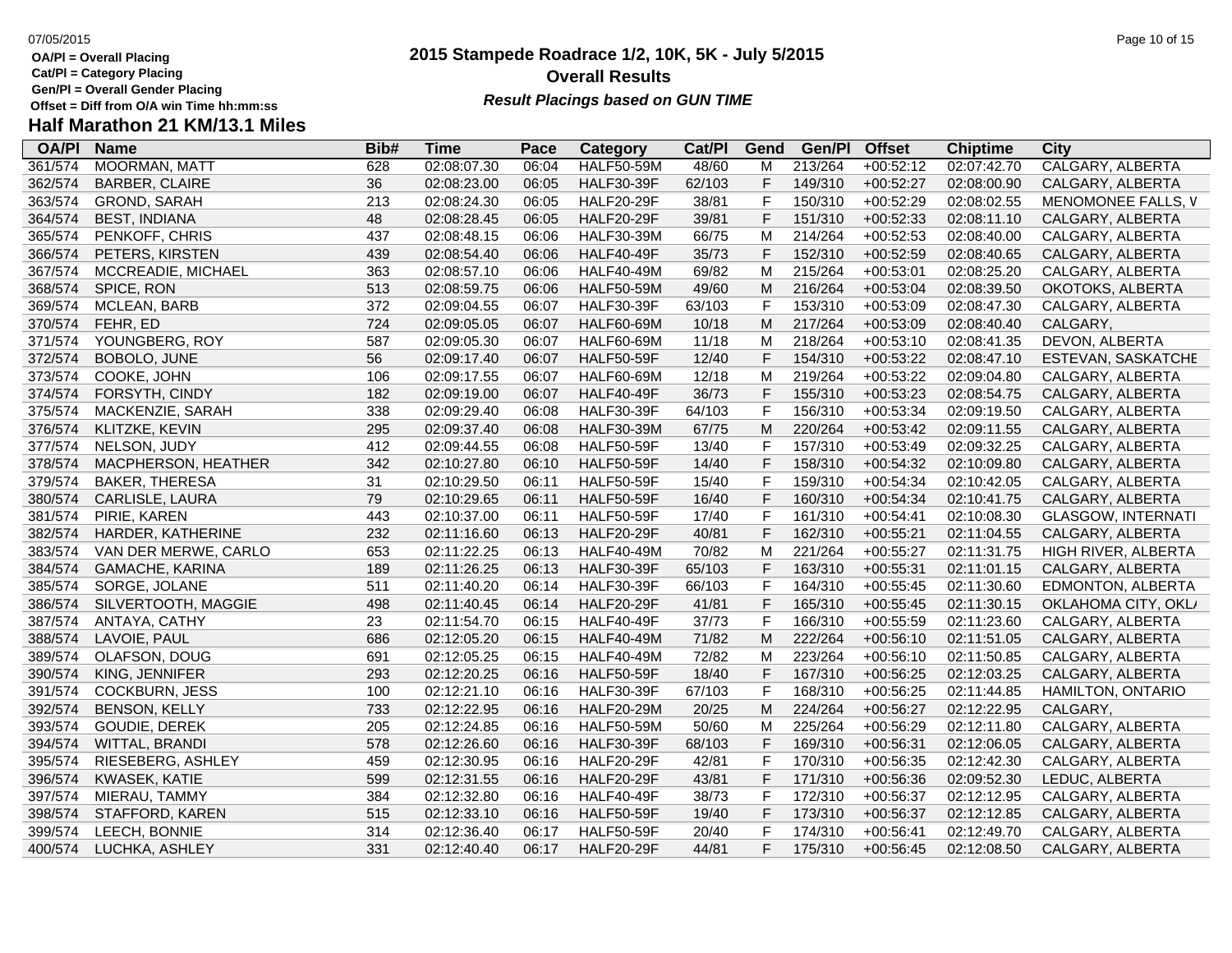**Cat/Pl = Category Placing**

**Gen/Pl = Overall Gender Placing**

### **2015 Stampede Roadrace 1/2, 10K, 5K - July 5/2015** 07/05/2015 Page 10 of 15 **Overall Results Result Placings based on GUN TIME**

| <b>OA/PI</b> | <b>Name</b>           | Bib# | <b>Time</b> | Pace  | Category          | Cat/Pl | Gend | Gen/Pl  | <b>Offset</b> | <b>Chiptime</b> | <b>City</b>               |
|--------------|-----------------------|------|-------------|-------|-------------------|--------|------|---------|---------------|-----------------|---------------------------|
| 361/574      | <b>MOORMAN, MATT</b>  | 628  | 02:08:07.30 | 06:04 | <b>HALF50-59M</b> | 48/60  | M    | 213/264 | $+00:52:12$   | 02:07:42.70     | <b>CALGARY, ALBERTA</b>   |
| 362/574      | <b>BARBER, CLAIRE</b> | 36   | 02:08:23.00 | 06:05 | <b>HALF30-39F</b> | 62/103 | F    | 149/310 | $+00:52:27$   | 02:08:00.90     | CALGARY, ALBERTA          |
| 363/574      | GROND, SARAH          | 213  | 02:08:24.30 | 06:05 | <b>HALF20-29F</b> | 38/81  | F    | 150/310 | $+00:52:29$   | 02:08:02.55     | MENOMONEE FALLS, V        |
| 364/574      | <b>BEST, INDIANA</b>  | 48   | 02:08:28.45 | 06:05 | <b>HALF20-29F</b> | 39/81  | F    | 151/310 | $+00:52:33$   | 02:08:11.10     | CALGARY, ALBERTA          |
| 365/574      | PENKOFF, CHRIS        | 437  | 02:08:48.15 | 06:06 | <b>HALF30-39M</b> | 66/75  | M    | 214/264 | $+00:52:53$   | 02:08:40.00     | CALGARY, ALBERTA          |
| 366/574      | PETERS, KIRSTEN       | 439  | 02:08:54.40 | 06:06 | <b>HALF40-49F</b> | 35/73  | F    | 152/310 | $+00:52:59$   | 02:08:40.65     | CALGARY, ALBERTA          |
| 367/574      | MCCREADIE, MICHAEL    | 363  | 02:08:57.10 | 06:06 | <b>HALF40-49M</b> | 69/82  | M    | 215/264 | $+00:53:01$   | 02:08:25.20     | CALGARY, ALBERTA          |
| 368/574      | SPICE, RON            | 513  | 02:08:59.75 | 06:06 | <b>HALF50-59M</b> | 49/60  | M    | 216/264 | $+00:53:04$   | 02:08:39.50     | OKOTOKS, ALBERTA          |
| 369/574      | MCLEAN, BARB          | 372  | 02:09:04.55 | 06:07 | <b>HALF30-39F</b> | 63/103 | F    | 153/310 | $+00:53:09$   | 02:08:47.30     | CALGARY, ALBERTA          |
| 370/574      | FEHR, ED              | 724  | 02:09:05.05 | 06:07 | <b>HALF60-69M</b> | 10/18  | M    | 217/264 | $+00:53:09$   | 02:08:40.40     | CALGARY,                  |
| 371/574      | YOUNGBERG, ROY        | 587  | 02:09:05.30 | 06:07 | <b>HALF60-69M</b> | 11/18  | M    | 218/264 | $+00:53:10$   | 02:08:41.35     | DEVON, ALBERTA            |
| 372/574      | BOBOLO, JUNE          | 56   | 02:09:17.40 | 06:07 | <b>HALF50-59F</b> | 12/40  | F    | 154/310 | $+00:53:22$   | 02:08:47.10     | ESTEVAN, SASKATCHE        |
| 373/574      | COOKE, JOHN           | 106  | 02:09:17.55 | 06:07 | <b>HALF60-69M</b> | 12/18  | M    | 219/264 | $+00:53:22$   | 02:09:04.80     | CALGARY, ALBERTA          |
| 374/574      | FORSYTH, CINDY        | 182  | 02:09:19.00 | 06:07 | <b>HALF40-49F</b> | 36/73  | F    | 155/310 | $+00:53:23$   | 02:08:54.75     | CALGARY, ALBERTA          |
| 375/574      | MACKENZIE, SARAH      | 338  | 02:09:29.40 | 06:08 | <b>HALF30-39F</b> | 64/103 | F    | 156/310 | $+00:53:34$   | 02:09:19.50     | CALGARY, ALBERTA          |
| 376/574      | KLITZKE, KEVIN        | 295  | 02:09:37.40 | 06:08 | <b>HALF30-39M</b> | 67/75  | M    | 220/264 | $+00:53:42$   | 02:09:11.55     | CALGARY, ALBERTA          |
| 377/574      | NELSON, JUDY          | 412  | 02:09:44.55 | 06:08 | <b>HALF50-59F</b> | 13/40  | F    | 157/310 | $+00:53:49$   | 02:09:32.25     | CALGARY, ALBERTA          |
| 378/574      | MACPHERSON, HEATHER   | 342  | 02:10:27.80 | 06:10 | <b>HALF50-59F</b> | 14/40  | F    | 158/310 | $+00:54:32$   | 02:10:09.80     | CALGARY, ALBERTA          |
| 379/574      | <b>BAKER, THERESA</b> | 31   | 02:10:29.50 | 06:11 | <b>HALF50-59F</b> | 15/40  | F    | 159/310 | $+00:54:34$   | 02:10:42.05     | CALGARY, ALBERTA          |
| 380/574      | CARLISLE, LAURA       | 79   | 02:10:29.65 | 06:11 | <b>HALF50-59F</b> | 16/40  | F    | 160/310 | $+00:54:34$   | 02:10:41.75     | CALGARY, ALBERTA          |
| 381/574      | PIRIE, KAREN          | 443  | 02:10:37.00 | 06:11 | <b>HALF50-59F</b> | 17/40  | F    | 161/310 | $+00:54:41$   | 02:10:08.30     | <b>GLASGOW, INTERNATI</b> |
| 382/574      | HARDER, KATHERINE     | 232  | 02:11:16.60 | 06:13 | <b>HALF20-29F</b> | 40/81  | F    | 162/310 | $+00:55:21$   | 02:11:04.55     | CALGARY, ALBERTA          |
| 383/574      | VAN DER MERWE, CARLO  | 653  | 02:11:22.25 | 06:13 | <b>HALF40-49M</b> | 70/82  | M    | 221/264 | $+00:55:27$   | 02:11:31.75     | HIGH RIVER, ALBERTA       |
| 384/574      | GAMACHE, KARINA       | 189  | 02:11:26.25 | 06:13 | <b>HALF30-39F</b> | 65/103 | F    | 163/310 | $+00:55:31$   | 02:11:01.15     | CALGARY, ALBERTA          |
| 385/574      | SORGE, JOLANE         | 511  | 02:11:40.20 | 06:14 | <b>HALF30-39F</b> | 66/103 | F    | 164/310 | $+00:55:45$   | 02:11:30.60     | EDMONTON, ALBERTA         |
| 386/574      | SILVERTOOTH, MAGGIE   | 498  | 02:11:40.45 | 06:14 | <b>HALF20-29F</b> | 41/81  | F    | 165/310 | $+00:55:45$   | 02:11:30.15     | OKLAHOMA CITY, OKL/       |
| 387/574      | ANTAYA, CATHY         | 23   | 02:11:54.70 | 06:15 | <b>HALF40-49F</b> | 37/73  | F    | 166/310 | $+00:55:59$   | 02:11:23.60     | CALGARY, ALBERTA          |
| 388/574      | LAVOIE, PAUL          | 686  | 02:12:05.20 | 06:15 | <b>HALF40-49M</b> | 71/82  | M    | 222/264 | $+00:56:10$   | 02:11:51.05     | CALGARY, ALBERTA          |
| 389/574      | OLAFSON, DOUG         | 691  | 02:12:05.25 | 06:15 | <b>HALF40-49M</b> | 72/82  | M    | 223/264 | $+00:56:10$   | 02:11:50.85     | CALGARY, ALBERTA          |
| 390/574      | KING, JENNIFER        | 293  | 02:12:20.25 | 06:16 | <b>HALF50-59F</b> | 18/40  | F    | 167/310 | $+00:56:25$   | 02:12:03.25     | CALGARY, ALBERTA          |
| 391/574      | <b>COCKBURN, JESS</b> | 100  | 02:12:21.10 | 06:16 | <b>HALF30-39F</b> | 67/103 | F    | 168/310 | $+00:56:25$   | 02:11:44.85     | HAMILTON, ONTARIO         |
| 392/574      | <b>BENSON, KELLY</b>  | 733  | 02:12:22.95 | 06:16 | <b>HALF20-29M</b> | 20/25  | M    | 224/264 | $+00:56:27$   | 02:12:22.95     | CALGARY,                  |
| 393/574      | GOUDIE, DEREK         | 205  | 02:12:24.85 | 06:16 | <b>HALF50-59M</b> | 50/60  | M    | 225/264 | $+00:56:29$   | 02:12:11.80     | CALGARY, ALBERTA          |
| 394/574      | WITTAL, BRANDI        | 578  | 02:12:26.60 | 06:16 | <b>HALF30-39F</b> | 68/103 | F    | 169/310 | $+00:56:31$   | 02:12:06.05     | CALGARY, ALBERTA          |
| 395/574      | RIESEBERG, ASHLEY     | 459  | 02:12:30.95 | 06:16 | <b>HALF20-29F</b> | 42/81  | F    | 170/310 | $+00:56:35$   | 02:12:42.30     | CALGARY, ALBERTA          |
| 396/574      | KWASEK, KATIE         | 599  | 02:12:31.55 | 06:16 | <b>HALF20-29F</b> | 43/81  | F    | 171/310 | $+00:56:36$   | 02:09:52.30     | LEDUC, ALBERTA            |
| 397/574      | MIERAU, TAMMY         | 384  | 02:12:32.80 | 06:16 | <b>HALF40-49F</b> | 38/73  | F    | 172/310 | $+00:56:37$   | 02:12:12.95     | CALGARY, ALBERTA          |
| 398/574      | STAFFORD, KAREN       | 515  | 02:12:33.10 | 06:16 | <b>HALF50-59F</b> | 19/40  | F    | 173/310 | $+00:56:37$   | 02:12:12.85     | CALGARY, ALBERTA          |
| 399/574      | LEECH, BONNIE         | 314  | 02:12:36.40 | 06:17 | <b>HALF50-59F</b> | 20/40  | F    | 174/310 | $+00:56:41$   | 02:12:49.70     | CALGARY, ALBERTA          |
| 400/574      | LUCHKA, ASHLEY        | 331  | 02:12:40.40 | 06:17 | <b>HALF20-29F</b> | 44/81  | F    | 175/310 | $+00:56:45$   | 02:12:08.50     | CALGARY, ALBERTA          |
|              |                       |      |             |       |                   |        |      |         |               |                 |                           |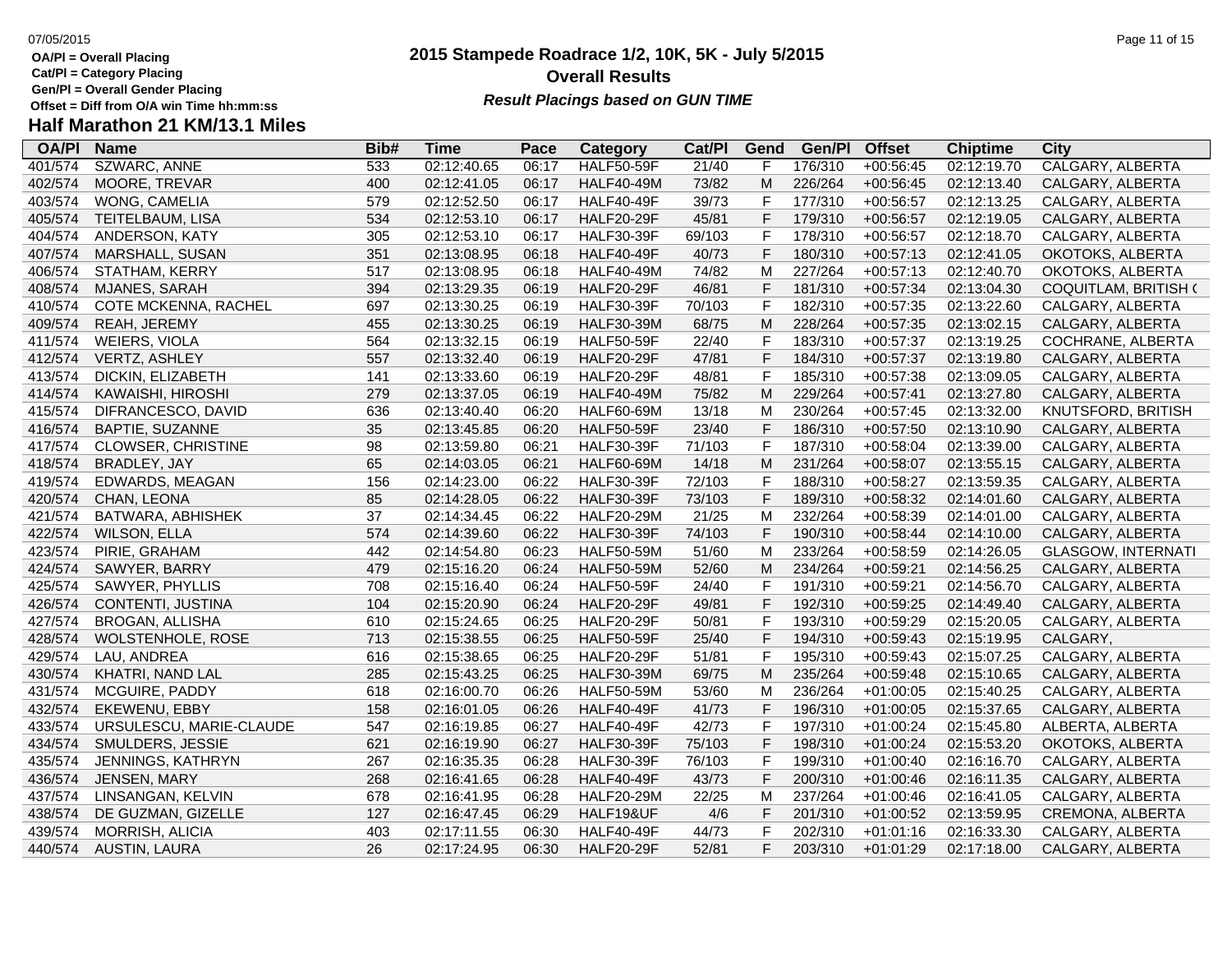**Cat/Pl = Category Placing**

**Gen/Pl = Overall Gender Placing**

### **2015 Stampede Roadrace 1/2, 10K, 5K - July 5/2015** 07/05/2015 Page 11 of 15 **Overall Results Result Placings based on GUN TIME**

| <b>OA/PI</b> | <b>Name</b>               | Bib# | Time        | Pace  | Category          | Cat/PI | Gend         | Gen/Pl  | <b>Offset</b> | <b>Chiptime</b> | City                      |
|--------------|---------------------------|------|-------------|-------|-------------------|--------|--------------|---------|---------------|-----------------|---------------------------|
| 401/574      | SZWARC, ANNE              | 533  | 02:12:40.65 | 06:17 | <b>HALF50-59F</b> | 21/40  | F            | 176/310 | $+00:56:45$   | 02:12:19.70     | CALGARY, ALBERTA          |
| 402/574      | MOORE, TREVAR             | 400  | 02:12:41.05 | 06:17 | <b>HALF40-49M</b> | 73/82  | M            | 226/264 | $+00:56:45$   | 02:12:13.40     | CALGARY, ALBERTA          |
| 403/574      | WONG, CAMELIA             | 579  | 02:12:52.50 | 06:17 | <b>HALF40-49F</b> | 39/73  | F            | 177/310 | $+00:56:57$   | 02:12:13.25     | CALGARY, ALBERTA          |
| 405/574      | TEITELBAUM, LISA          | 534  | 02:12:53.10 | 06:17 | <b>HALF20-29F</b> | 45/81  | F            | 179/310 | $+00:56:57$   | 02:12:19.05     | CALGARY, ALBERTA          |
| 404/574      | ANDERSON, KATY            | 305  | 02:12:53.10 | 06:17 | <b>HALF30-39F</b> | 69/103 | F            | 178/310 | $+00:56:57$   | 02:12:18.70     | CALGARY, ALBERTA          |
| 407/574      | MARSHALL, SUSAN           | 351  | 02:13:08.95 | 06:18 | <b>HALF40-49F</b> | 40/73  | $\mathsf F$  | 180/310 | $+00:57:13$   | 02:12:41.05     | OKOTOKS, ALBERTA          |
| 406/574      | STATHAM, KERRY            | 517  | 02:13:08.95 | 06:18 | <b>HALF40-49M</b> | 74/82  | M            | 227/264 | $+00:57:13$   | 02:12:40.70     | OKOTOKS, ALBERTA          |
| 408/574      | MJANES, SARAH             | 394  | 02:13:29.35 | 06:19 | <b>HALF20-29F</b> | 46/81  | F            | 181/310 | $+00:57:34$   | 02:13:04.30     | COQUITLAM, BRITISH (      |
| 410/574      | COTE MCKENNA, RACHEL      | 697  | 02:13:30.25 | 06:19 | <b>HALF30-39F</b> | 70/103 | $\mathsf{F}$ | 182/310 | $+00:57:35$   | 02:13:22.60     | CALGARY, ALBERTA          |
| 409/574      | REAH, JEREMY              | 455  | 02:13:30.25 | 06:19 | <b>HALF30-39M</b> | 68/75  | M            | 228/264 | $+00:57:35$   | 02:13:02.15     | CALGARY, ALBERTA          |
| 411/574      | <b>WEIERS, VIOLA</b>      | 564  | 02:13:32.15 | 06:19 | <b>HALF50-59F</b> | 22/40  | $\mathsf F$  | 183/310 | $+00:57:37$   | 02:13:19.25     | COCHRANE, ALBERTA         |
| 412/574      | VERTZ, ASHLEY             | 557  | 02:13:32.40 | 06:19 | <b>HALF20-29F</b> | 47/81  | $\mathsf F$  | 184/310 | $+00:57:37$   | 02:13:19.80     | CALGARY, ALBERTA          |
| 413/574      | DICKIN, ELIZABETH         | 141  | 02:13:33.60 | 06:19 | <b>HALF20-29F</b> | 48/81  | $\mathsf F$  | 185/310 | $+00:57:38$   | 02:13:09.05     | CALGARY, ALBERTA          |
| 414/574      | KAWAISHI, HIROSHI         | 279  | 02:13:37.05 | 06:19 | <b>HALF40-49M</b> | 75/82  | M            | 229/264 | $+00:57:41$   | 02:13:27.80     | CALGARY, ALBERTA          |
| 415/574      | DIFRANCESCO, DAVID        | 636  | 02:13:40.40 | 06:20 | <b>HALF60-69M</b> | 13/18  | M            | 230/264 | $+00:57:45$   | 02:13:32.00     | KNUTSFORD, BRITISH        |
| 416/574      | <b>BAPTIE, SUZANNE</b>    | 35   | 02:13:45.85 | 06:20 | <b>HALF50-59F</b> | 23/40  | F            | 186/310 | $+00:57:50$   | 02:13:10.90     | CALGARY, ALBERTA          |
| 417/574      | <b>CLOWSER, CHRISTINE</b> | 98   | 02:13:59.80 | 06:21 | <b>HALF30-39F</b> | 71/103 | F            | 187/310 | $+00:58:04$   | 02:13:39.00     | CALGARY, ALBERTA          |
| 418/574      | BRADLEY, JAY              | 65   | 02:14:03.05 | 06:21 | <b>HALF60-69M</b> | 14/18  | M            | 231/264 | $+00:58:07$   | 02:13:55.15     | CALGARY, ALBERTA          |
| 419/574      | EDWARDS, MEAGAN           | 156  | 02:14:23.00 | 06:22 | <b>HALF30-39F</b> | 72/103 | $\mathsf F$  | 188/310 | $+00:58:27$   | 02:13:59.35     | CALGARY, ALBERTA          |
| 420/574      | CHAN, LEONA               | 85   | 02:14:28.05 | 06:22 | <b>HALF30-39F</b> | 73/103 | $\mathsf F$  | 189/310 | $+00:58:32$   | 02:14:01.60     | CALGARY, ALBERTA          |
| 421/574      | BATWARA, ABHISHEK         | 37   | 02:14:34.45 | 06:22 | <b>HALF20-29M</b> | 21/25  | M            | 232/264 | $+00:58:39$   | 02:14:01.00     | CALGARY, ALBERTA          |
| 422/574      | <b>WILSON, ELLA</b>       | 574  | 02:14:39.60 | 06:22 | <b>HALF30-39F</b> | 74/103 | F            | 190/310 | $+00:58:44$   | 02:14:10.00     | CALGARY, ALBERTA          |
| 423/574      | PIRIE, GRAHAM             | 442  | 02:14:54.80 | 06:23 | <b>HALF50-59M</b> | 51/60  | M            | 233/264 | $+00:58:59$   | 02:14:26.05     | <b>GLASGOW, INTERNATI</b> |
| 424/574      | SAWYER, BARRY             | 479  | 02:15:16.20 | 06:24 | <b>HALF50-59M</b> | 52/60  | M            | 234/264 | $+00:59:21$   | 02:14:56.25     | CALGARY, ALBERTA          |
| 425/574      | SAWYER, PHYLLIS           | 708  | 02:15:16.40 | 06:24 | <b>HALF50-59F</b> | 24/40  | $\mathsf F$  | 191/310 | $+00:59:21$   | 02:14:56.70     | CALGARY, ALBERTA          |
| 426/574      | CONTENTI, JUSTINA         | 104  | 02:15:20.90 | 06:24 | <b>HALF20-29F</b> | 49/81  | F            | 192/310 | $+00:59:25$   | 02:14:49.40     | CALGARY, ALBERTA          |
| 427/574      | <b>BROGAN, ALLISHA</b>    | 610  | 02:15:24.65 | 06:25 | <b>HALF20-29F</b> | 50/81  | $\mathsf{F}$ | 193/310 | $+00:59:29$   | 02:15:20.05     | CALGARY, ALBERTA          |
| 428/574      | <b>WOLSTENHOLE, ROSE</b>  | 713  | 02:15:38.55 | 06:25 | <b>HALF50-59F</b> | 25/40  | F            | 194/310 | $+00:59:43$   | 02:15:19.95     | CALGARY,                  |
| 429/574      | LAU, ANDREA               | 616  | 02:15:38.65 | 06:25 | <b>HALF20-29F</b> | 51/81  | $\mathsf F$  | 195/310 | $+00:59:43$   | 02:15:07.25     | CALGARY, ALBERTA          |
| 430/574      | KHATRI, NAND LAL          | 285  | 02:15:43.25 | 06:25 | <b>HALF30-39M</b> | 69/75  | M            | 235/264 | $+00:59:48$   | 02:15:10.65     | CALGARY, ALBERTA          |
| 431/574      | MCGUIRE, PADDY            | 618  | 02:16:00.70 | 06:26 | <b>HALF50-59M</b> | 53/60  | M            | 236/264 | $+01:00:05$   | 02:15:40.25     | CALGARY, ALBERTA          |
| 432/574      | EKEWENU, EBBY             | 158  | 02:16:01.05 | 06:26 | <b>HALF40-49F</b> | 41/73  | $\mathsf F$  | 196/310 | $+01:00:05$   | 02:15:37.65     | CALGARY, ALBERTA          |
| 433/574      | URSULESCU, MARIE-CLAUDE   | 547  | 02:16:19.85 | 06:27 | <b>HALF40-49F</b> | 42/73  | $\mathsf{F}$ | 197/310 | $+01:00:24$   | 02:15:45.80     | ALBERTA, ALBERTA          |
| 434/574      | SMULDERS, JESSIE          | 621  | 02:16:19.90 | 06:27 | <b>HALF30-39F</b> | 75/103 | F            | 198/310 | $+01:00:24$   | 02:15:53.20     | OKOTOKS, ALBERTA          |
| 435/574      | JENNINGS, KATHRYN         | 267  | 02:16:35.35 | 06:28 | <b>HALF30-39F</b> | 76/103 | $\mathsf{F}$ | 199/310 | $+01:00:40$   | 02:16:16.70     | CALGARY, ALBERTA          |
| 436/574      | JENSEN, MARY              | 268  | 02:16:41.65 | 06:28 | <b>HALF40-49F</b> | 43/73  | $\mathsf F$  | 200/310 | $+01:00:46$   | 02:16:11.35     | CALGARY, ALBERTA          |
| 437/574      | LINSANGAN, KELVIN         | 678  | 02:16:41.95 | 06:28 | <b>HALF20-29M</b> | 22/25  | M            | 237/264 | $+01:00:46$   | 02:16:41.05     | CALGARY, ALBERTA          |
| 438/574      | DE GUZMAN, GIZELLE        | 127  | 02:16:47.45 | 06:29 | HALF19&UF         | 4/6    | F            | 201/310 | $+01:00:52$   | 02:13:59.95     | CREMONA, ALBERTA          |
| 439/574      | MORRISH, ALICIA           | 403  | 02:17:11.55 | 06:30 | <b>HALF40-49F</b> | 44/73  | $\mathsf F$  | 202/310 | $+01:01:16$   | 02:16:33.30     | CALGARY, ALBERTA          |
| 440/574      | AUSTIN, LAURA             | 26   | 02:17:24.95 | 06:30 | <b>HALF20-29F</b> | 52/81  | F            | 203/310 | $+01:01:29$   | 02:17:18.00     | CALGARY, ALBERTA          |
|              |                           |      |             |       |                   |        |              |         |               |                 |                           |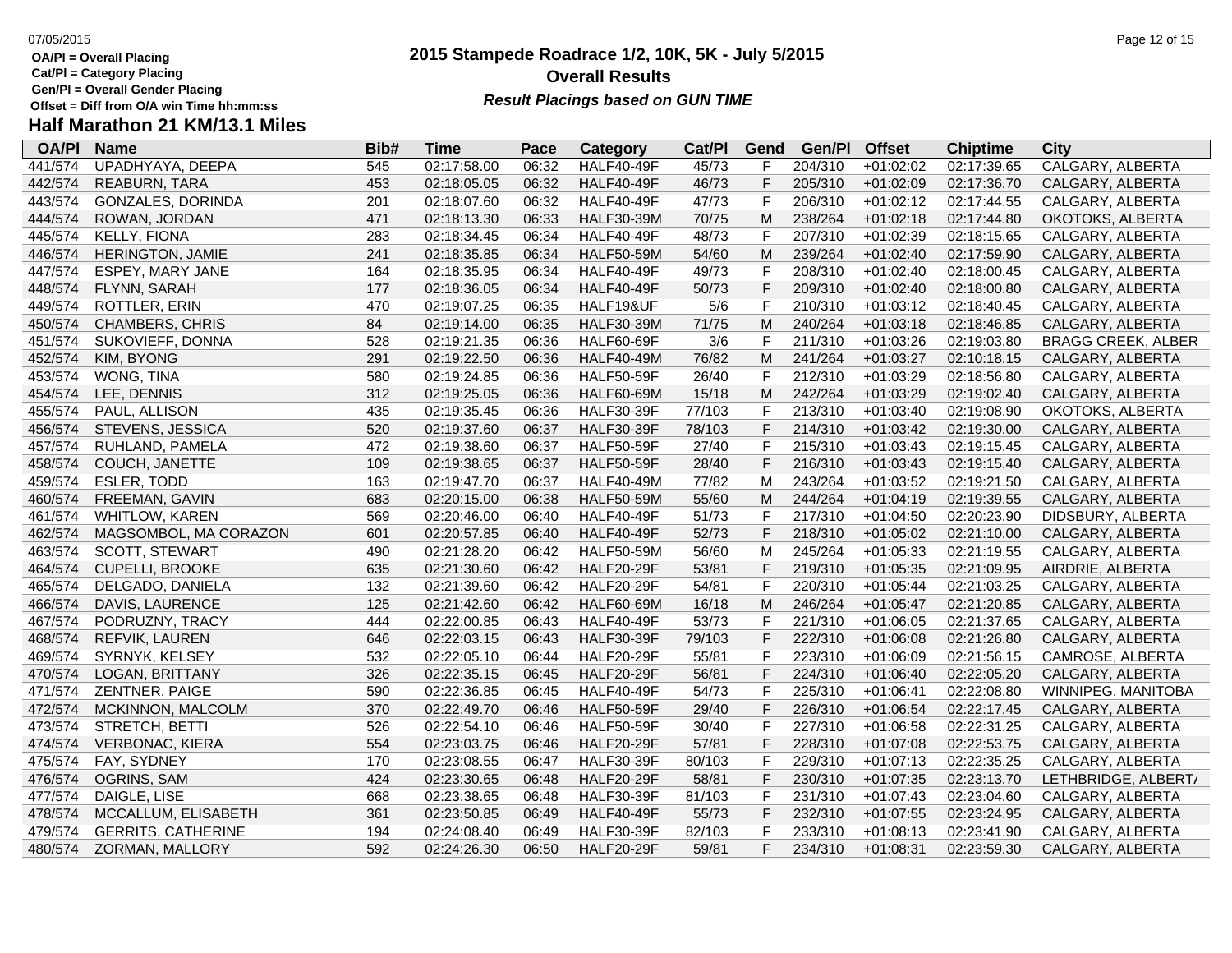**Cat/Pl = Category Placing**

**Gen/Pl = Overall Gender Placing**

### **2015 Stampede Roadrace 1/2, 10K, 5K - July 5/2015** 07/05/2015 Page 12 of 15 **Overall Results Result Placings based on GUN TIME**

| <b>OA/PI</b> | <b>Name</b>               | Bib# | Time        | Pace  | Category          | Cat/Pl | Gend | Gen/Pl  | <b>Offset</b> | <b>Chiptime</b> | City                      |
|--------------|---------------------------|------|-------------|-------|-------------------|--------|------|---------|---------------|-----------------|---------------------------|
| 441/574      | UPADHYAYA, DEEPA          | 545  | 02:17:58.00 | 06:32 | <b>HALF40-49F</b> | 45/73  | F    | 204/310 | $+01:02:02$   | 02:17:39.65     | CALGARY, ALBERTA          |
| 442/574      | <b>REABURN, TARA</b>      | 453  | 02:18:05.05 | 06:32 | <b>HALF40-49F</b> | 46/73  | F    | 205/310 | $+01:02:09$   | 02:17:36.70     | CALGARY, ALBERTA          |
| 443/574      | GONZALES, DORINDA         | 201  | 02:18:07.60 | 06:32 | <b>HALF40-49F</b> | 47/73  | F    | 206/310 | $+01:02:12$   | 02:17:44.55     | CALGARY, ALBERTA          |
| 444/574      | ROWAN, JORDAN             | 471  | 02:18:13.30 | 06:33 | <b>HALF30-39M</b> | 70/75  | M    | 238/264 | $+01:02:18$   | 02:17:44.80     | OKOTOKS, ALBERTA          |
| 445/574      | KELLY, FIONA              | 283  | 02:18:34.45 | 06:34 | <b>HALF40-49F</b> | 48/73  | F    | 207/310 | $+01:02:39$   | 02:18:15.65     | CALGARY, ALBERTA          |
| 446/574      | <b>HERINGTON, JAMIE</b>   | 241  | 02:18:35.85 | 06:34 | <b>HALF50-59M</b> | 54/60  | M    | 239/264 | $+01:02:40$   | 02:17:59.90     | CALGARY, ALBERTA          |
| 447/574      | ESPEY, MARY JANE          | 164  | 02:18:35.95 | 06:34 | <b>HALF40-49F</b> | 49/73  | F    | 208/310 | $+01:02:40$   | 02:18:00.45     | CALGARY, ALBERTA          |
| 448/574      | FLYNN, SARAH              | 177  | 02:18:36.05 | 06:34 | <b>HALF40-49F</b> | 50/73  | F    | 209/310 | $+01:02:40$   | 02:18:00.80     | CALGARY, ALBERTA          |
| 449/574      | ROTTLER, ERIN             | 470  | 02:19:07.25 | 06:35 | HALF19&UF         | 5/6    | F    | 210/310 | $+01:03:12$   | 02:18:40.45     | CALGARY, ALBERTA          |
| 450/574      | <b>CHAMBERS, CHRIS</b>    | 84   | 02:19:14.00 | 06:35 | <b>HALF30-39M</b> | 71/75  | M    | 240/264 | $+01:03:18$   | 02:18:46.85     | CALGARY, ALBERTA          |
| 451/574      | SUKOVIEFF, DONNA          | 528  | 02:19:21.35 | 06:36 | <b>HALF60-69F</b> | 3/6    | F    | 211/310 | $+01:03:26$   | 02:19:03.80     | <b>BRAGG CREEK, ALBER</b> |
| 452/574      | KIM, BYONG                | 291  | 02:19:22.50 | 06:36 | <b>HALF40-49M</b> | 76/82  | M    | 241/264 | $+01:03:27$   | 02:10:18.15     | CALGARY, ALBERTA          |
| 453/574      | WONG, TINA                | 580  | 02:19:24.85 | 06:36 | <b>HALF50-59F</b> | 26/40  | F    | 212/310 | +01:03:29     | 02:18:56.80     | CALGARY, ALBERTA          |
| 454/574      | LEE, DENNIS               | 312  | 02:19:25.05 | 06:36 | <b>HALF60-69M</b> | 15/18  | M    | 242/264 | $+01:03:29$   | 02:19:02.40     | CALGARY, ALBERTA          |
| 455/574      | PAUL, ALLISON             | 435  | 02:19:35.45 | 06:36 | <b>HALF30-39F</b> | 77/103 | F    | 213/310 | $+01:03:40$   | 02:19:08.90     | OKOTOKS, ALBERTA          |
| 456/574      | STEVENS, JESSICA          | 520  | 02:19:37.60 | 06:37 | <b>HALF30-39F</b> | 78/103 | F    | 214/310 | $+01:03:42$   | 02:19:30.00     | CALGARY, ALBERTA          |
| 457/574      | RUHLAND, PAMELA           | 472  | 02:19:38.60 | 06:37 | <b>HALF50-59F</b> | 27/40  | F    | 215/310 | $+01:03:43$   | 02:19:15.45     | CALGARY, ALBERTA          |
| 458/574      | COUCH, JANETTE            | 109  | 02:19:38.65 | 06:37 | <b>HALF50-59F</b> | 28/40  | F    | 216/310 | $+01:03:43$   | 02:19:15.40     | CALGARY, ALBERTA          |
| 459/574      | ESLER, TODD               | 163  | 02:19:47.70 | 06:37 | <b>HALF40-49M</b> | 77/82  | M    | 243/264 | $+01:03:52$   | 02:19:21.50     | CALGARY, ALBERTA          |
| 460/574      | FREEMAN, GAVIN            | 683  | 02:20:15.00 | 06:38 | <b>HALF50-59M</b> | 55/60  | M    | 244/264 | $+01:04:19$   | 02:19:39.55     | CALGARY, ALBERTA          |
| 461/574      | <b>WHITLOW, KAREN</b>     | 569  | 02:20:46.00 | 06:40 | <b>HALF40-49F</b> | 51/73  | F    | 217/310 | $+01:04:50$   | 02:20:23.90     | DIDSBURY, ALBERTA         |
| 462/574      | MAGSOMBOL, MA CORAZON     | 601  | 02:20:57.85 | 06:40 | <b>HALF40-49F</b> | 52/73  | F    | 218/310 | $+01:05:02$   | 02:21:10.00     | CALGARY, ALBERTA          |
| 463/574      | <b>SCOTT, STEWART</b>     | 490  | 02:21:28.20 | 06:42 | <b>HALF50-59M</b> | 56/60  | M    | 245/264 | $+01:05:33$   | 02:21:19.55     | CALGARY, ALBERTA          |
| 464/574      | <b>CUPELLI, BROOKE</b>    | 635  | 02:21:30.60 | 06:42 | <b>HALF20-29F</b> | 53/81  | F    | 219/310 | $+01:05:35$   | 02:21:09.95     | AIRDRIE, ALBERTA          |
| 465/574      | DELGADO, DANIELA          | 132  | 02:21:39.60 | 06:42 | <b>HALF20-29F</b> | 54/81  | F    | 220/310 | $+01:05:44$   | 02:21:03.25     | CALGARY, ALBERTA          |
| 466/574      | DAVIS, LAURENCE           | 125  | 02:21:42.60 | 06:42 | <b>HALF60-69M</b> | 16/18  | M    | 246/264 | $+01:05:47$   | 02:21:20.85     | CALGARY, ALBERTA          |
| 467/574      | PODRUZNY, TRACY           | 444  | 02:22:00.85 | 06:43 | <b>HALF40-49F</b> | 53/73  | F    | 221/310 | $+01:06:05$   | 02:21:37.65     | CALGARY, ALBERTA          |
| 468/574      | REFVIK, LAUREN            | 646  | 02:22:03.15 | 06:43 | <b>HALF30-39F</b> | 79/103 | F    | 222/310 | $+01:06:08$   | 02:21:26.80     | CALGARY, ALBERTA          |
| 469/574      | SYRNYK, KELSEY            | 532  | 02:22:05.10 | 06:44 | <b>HALF20-29F</b> | 55/81  | F    | 223/310 | $+01:06:09$   | 02:21:56.15     | CAMROSE, ALBERTA          |
| 470/574      | LOGAN, BRITTANY           | 326  | 02:22:35.15 | 06:45 | <b>HALF20-29F</b> | 56/81  | F    | 224/310 | $+01:06:40$   | 02:22:05.20     | CALGARY, ALBERTA          |
| 471/574      | ZENTNER, PAIGE            | 590  | 02:22:36.85 | 06:45 | <b>HALF40-49F</b> | 54/73  | F    | 225/310 | $+01:06:41$   | 02:22:08.80     | WINNIPEG, MANITOBA        |
| 472/574      | MCKINNON, MALCOLM         | 370  | 02:22:49.70 | 06:46 | <b>HALF50-59F</b> | 29/40  | F    | 226/310 | $+01:06:54$   | 02:22:17.45     | CALGARY, ALBERTA          |
| 473/574      | STRETCH, BETTI            | 526  | 02:22:54.10 | 06:46 | <b>HALF50-59F</b> | 30/40  | F    | 227/310 | $+01:06:58$   | 02:22:31.25     | CALGARY, ALBERTA          |
| 474/574      | <b>VERBONAC, KIERA</b>    | 554  | 02:23:03.75 | 06:46 | <b>HALF20-29F</b> | 57/81  | F    | 228/310 | $+01:07:08$   | 02:22:53.75     | CALGARY, ALBERTA          |
| 475/574      | FAY, SYDNEY               | 170  | 02:23:08.55 | 06:47 | <b>HALF30-39F</b> | 80/103 | F    | 229/310 | $+01:07:13$   | 02:22:35.25     | CALGARY, ALBERTA          |
| 476/574      | OGRINS, SAM               | 424  | 02:23:30.65 | 06:48 | <b>HALF20-29F</b> | 58/81  | F    | 230/310 | $+01:07:35$   | 02:23:13.70     | LETHBRIDGE, ALBERT/       |
| 477/574      | DAIGLE, LISE              | 668  | 02:23:38.65 | 06:48 | <b>HALF30-39F</b> | 81/103 | F    | 231/310 | $+01:07:43$   | 02:23:04.60     | CALGARY, ALBERTA          |
| 478/574      | MCCALLUM, ELISABETH       | 361  | 02:23:50.85 | 06:49 | <b>HALF40-49F</b> | 55/73  | F    | 232/310 | $+01:07:55$   | 02:23:24.95     | CALGARY, ALBERTA          |
| 479/574      | <b>GERRITS, CATHERINE</b> | 194  | 02:24:08.40 | 06:49 | <b>HALF30-39F</b> | 82/103 | F    | 233/310 | $+01:08:13$   | 02:23:41.90     | CALGARY, ALBERTA          |
| 480/574      | ZORMAN, MALLORY           | 592  | 02:24:26.30 | 06:50 | <b>HALF20-29F</b> | 59/81  | F    | 234/310 | $+01:08:31$   | 02:23:59.30     | CALGARY, ALBERTA          |
|              |                           |      |             |       |                   |        |      |         |               |                 |                           |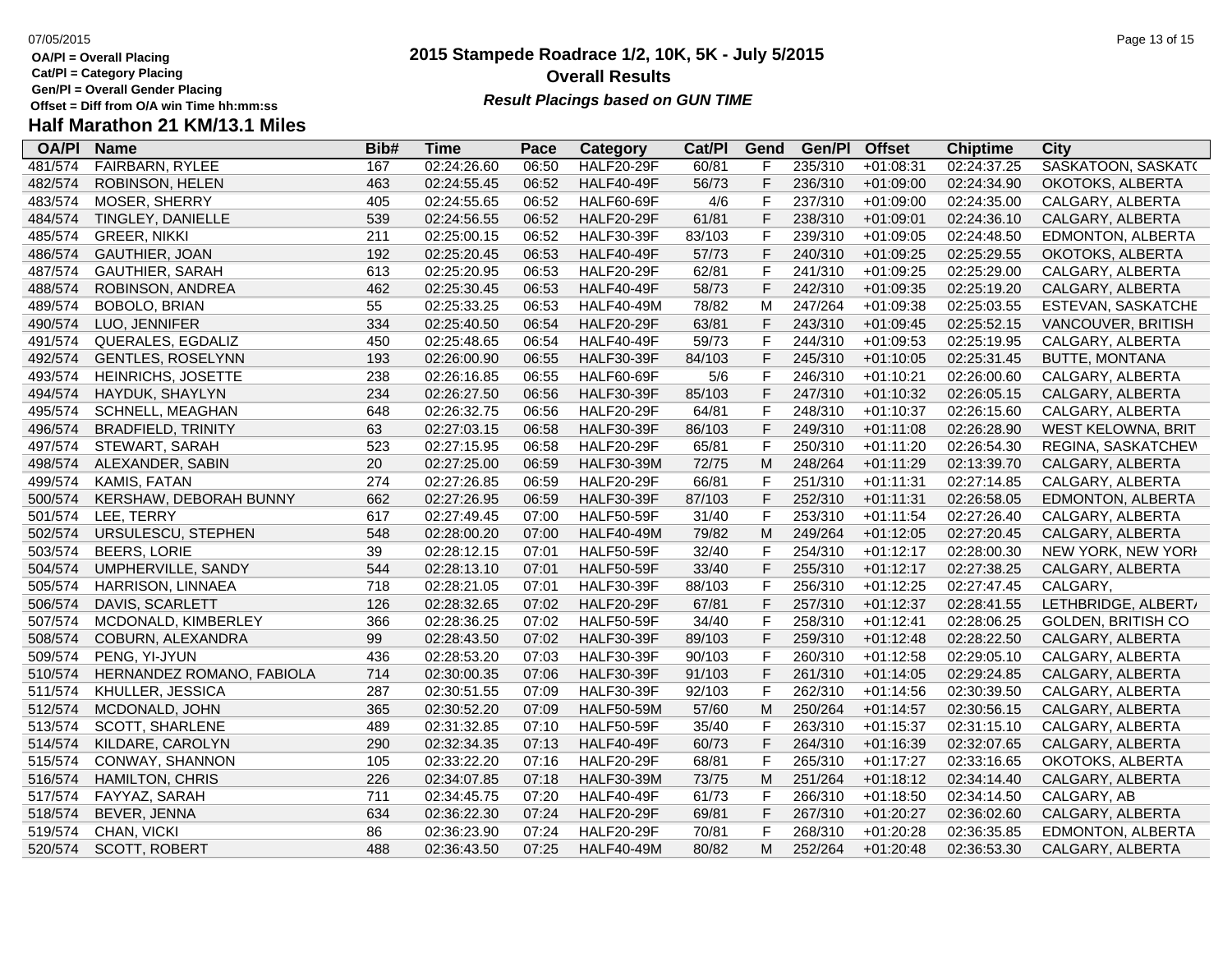**Cat/Pl = Category Placing**

**Gen/Pl = Overall Gender Placing**

### **2015 Stampede Roadrace 1/2, 10K, 5K - July 5/2015** 07/05/2015 Page 13 of 15 **Overall Results Result Placings based on GUN TIME**

| <b>OA/PI</b> | <b>Name</b>               | Bib# | Time        | Pace  | Category          | Cat/PI | Gend         | Gen/Pl  | <b>Offset</b> | <b>Chiptime</b> | City                      |
|--------------|---------------------------|------|-------------|-------|-------------------|--------|--------------|---------|---------------|-----------------|---------------------------|
| 481/574      | <b>FAIRBARN, RYLEE</b>    | 167  | 02:24:26.60 | 06:50 | <b>HALF20-29F</b> | 60/81  | F            | 235/310 | $+01:08:31$   | 02:24:37.25     | SASKATOON, SASKAT(        |
| 482/574      | ROBINSON, HELEN           | 463  | 02:24:55.45 | 06:52 | <b>HALF40-49F</b> | 56/73  | F            | 236/310 | $+01:09:00$   | 02:24:34.90     | OKOTOKS, ALBERTA          |
| 483/574      | MOSER, SHERRY             | 405  | 02:24:55.65 | 06:52 | <b>HALF60-69F</b> | 4/6    | F            | 237/310 | $+01:09:00$   | 02:24:35.00     | CALGARY, ALBERTA          |
| 484/574      | TINGLEY, DANIELLE         | 539  | 02:24:56.55 | 06:52 | <b>HALF20-29F</b> | 61/81  | F            | 238/310 | $+01:09:01$   | 02:24:36.10     | CALGARY, ALBERTA          |
| 485/574      | <b>GREER, NIKKI</b>       | 211  | 02:25:00.15 | 06:52 | <b>HALF30-39F</b> | 83/103 | F            | 239/310 | $+01:09:05$   | 02:24:48.50     | EDMONTON, ALBERTA         |
| 486/574      | <b>GAUTHIER, JOAN</b>     | 192  | 02:25:20.45 | 06:53 | <b>HALF40-49F</b> | 57/73  | F            | 240/310 | $+01:09:25$   | 02:25:29.55     | OKOTOKS, ALBERTA          |
| 487/574      | <b>GAUTHIER, SARAH</b>    | 613  | 02:25:20.95 | 06:53 | <b>HALF20-29F</b> | 62/81  | $\mathsf F$  | 241/310 | $+01:09:25$   | 02:25:29.00     | CALGARY, ALBERTA          |
| 488/574      | ROBINSON, ANDREA          | 462  | 02:25:30.45 | 06:53 | <b>HALF40-49F</b> | 58/73  | F            | 242/310 | $+01:09:35$   | 02:25:19.20     | CALGARY, ALBERTA          |
| 489/574      | BOBOLO, BRIAN             | 55   | 02:25:33.25 | 06:53 | <b>HALF40-49M</b> | 78/82  | M            | 247/264 | $+01:09:38$   | 02:25:03.55     | ESTEVAN, SASKATCHE        |
| 490/574      | LUO, JENNIFER             | 334  | 02:25:40.50 | 06:54 | <b>HALF20-29F</b> | 63/81  | F            | 243/310 | $+01:09:45$   | 02:25:52.15     | VANCOUVER, BRITISH        |
| 491/574      | QUERALES, EGDALIZ         | 450  | 02:25:48.65 | 06:54 | <b>HALF40-49F</b> | 59/73  | $\mathsf F$  | 244/310 | $+01:09:53$   | 02:25:19.95     | CALGARY, ALBERTA          |
| 492/574      | <b>GENTLES, ROSELYNN</b>  | 193  | 02:26:00.90 | 06:55 | <b>HALF30-39F</b> | 84/103 | F            | 245/310 | $+01:10:05$   | 02:25:31.45     | <b>BUTTE, MONTANA</b>     |
| 493/574      | HEINRICHS, JOSETTE        | 238  | 02:26:16.85 | 06:55 | <b>HALF60-69F</b> | 5/6    | F            | 246/310 | $+01:10:21$   | 02:26:00.60     | CALGARY, ALBERTA          |
| 494/574      | HAYDUK, SHAYLYN           | 234  | 02:26:27.50 | 06:56 | <b>HALF30-39F</b> | 85/103 | F            | 247/310 | $+01:10:32$   | 02:26:05.15     | CALGARY, ALBERTA          |
| 495/574      | <b>SCHNELL, MEAGHAN</b>   | 648  | 02:26:32.75 | 06:56 | <b>HALF20-29F</b> | 64/81  | F            | 248/310 | $+01:10:37$   | 02:26:15.60     | CALGARY, ALBERTA          |
| 496/574      | <b>BRADFIELD, TRINITY</b> | 63   | 02:27:03.15 | 06:58 | <b>HALF30-39F</b> | 86/103 | F            | 249/310 | $+01:11:08$   | 02:26:28.90     | WEST KELOWNA, BRIT        |
| 497/574      | STEWART, SARAH            | 523  | 02:27:15.95 | 06:58 | <b>HALF20-29F</b> | 65/81  | F            | 250/310 | $+01:11:20$   | 02:26:54.30     | REGINA, SASKATCHEV        |
| 498/574      | ALEXANDER, SABIN          | 20   | 02:27:25.00 | 06:59 | <b>HALF30-39M</b> | 72/75  | M            | 248/264 | $+01:11:29$   | 02:13:39.70     | CALGARY, ALBERTA          |
| 499/574      | KAMIS, FATAN              | 274  | 02:27:26.85 | 06:59 | <b>HALF20-29F</b> | 66/81  | F            | 251/310 | $+01:11:31$   | 02:27:14.85     | CALGARY, ALBERTA          |
| 500/574      | KERSHAW, DEBORAH BUNNY    | 662  | 02:27:26.95 | 06:59 | <b>HALF30-39F</b> | 87/103 | F            | 252/310 | $+01:11:31$   | 02:26:58.05     | EDMONTON, ALBERTA         |
| 501/574      | LEE, TERRY                | 617  | 02:27:49.45 | 07:00 | <b>HALF50-59F</b> | 31/40  | $\mathsf{F}$ | 253/310 | $+01:11:54$   | 02:27:26.40     | CALGARY, ALBERTA          |
| 502/574      | URSULESCU, STEPHEN        | 548  | 02:28:00.20 | 07:00 | <b>HALF40-49M</b> | 79/82  | M            | 249/264 | $+01:12:05$   | 02:27:20.45     | CALGARY, ALBERTA          |
| 503/574      | <b>BEERS, LORIE</b>       | 39   | 02:28:12.15 | 07:01 | <b>HALF50-59F</b> | 32/40  | $\mathsf F$  | 254/310 | $+01:12:17$   | 02:28:00.30     | NEW YORK, NEW YORI        |
| 504/574      | UMPHERVILLE, SANDY        | 544  | 02:28:13.10 | 07:01 | <b>HALF50-59F</b> | 33/40  | F            | 255/310 | $+01:12:17$   | 02:27:38.25     | CALGARY, ALBERTA          |
| 505/574      | HARRISON, LINNAEA         | 718  | 02:28:21.05 | 07:01 | <b>HALF30-39F</b> | 88/103 | F            | 256/310 | $+01:12:25$   | 02:27:47.45     | CALGARY,                  |
| 506/574      | DAVIS, SCARLETT           | 126  | 02:28:32.65 | 07:02 | <b>HALF20-29F</b> | 67/81  | F            | 257/310 | $+01:12:37$   | 02:28:41.55     | LETHBRIDGE, ALBERT/       |
| 507/574      | MCDONALD, KIMBERLEY       | 366  | 02:28:36.25 | 07:02 | <b>HALF50-59F</b> | 34/40  | F            | 258/310 | $+01:12:41$   | 02:28:06.25     | <b>GOLDEN, BRITISH CO</b> |
| 508/574      | COBURN, ALEXANDRA         | 99   | 02:28:43.50 | 07:02 | <b>HALF30-39F</b> | 89/103 | F            | 259/310 | $+01:12:48$   | 02:28:22.50     | CALGARY, ALBERTA          |
| 509/574      | PENG, YI-JYUN             | 436  | 02:28:53.20 | 07:03 | <b>HALF30-39F</b> | 90/103 | F            | 260/310 | $+01:12:58$   | 02:29:05.10     | CALGARY, ALBERTA          |
| 510/574      | HERNANDEZ ROMANO, FABIOLA | 714  | 02:30:00.35 | 07:06 | <b>HALF30-39F</b> | 91/103 | $\mathsf F$  | 261/310 | $+01:14:05$   | 02:29:24.85     | CALGARY, ALBERTA          |
| 511/574      | KHULLER, JESSICA          | 287  | 02:30:51.55 | 07:09 | <b>HALF30-39F</b> | 92/103 | F            | 262/310 | $+01:14:56$   | 02:30:39.50     | CALGARY, ALBERTA          |
| 512/574      | MCDONALD, JOHN            | 365  | 02:30:52.20 | 07:09 | <b>HALF50-59M</b> | 57/60  | M            | 250/264 | $+01:14:57$   | 02:30:56.15     | CALGARY, ALBERTA          |
| 513/574      | SCOTT, SHARLENE           | 489  | 02:31:32.85 | 07:10 | <b>HALF50-59F</b> | 35/40  | $\mathsf F$  | 263/310 | $+01:15:37$   | 02:31:15.10     | CALGARY, ALBERTA          |
| 514/574      | KILDARE, CAROLYN          | 290  | 02:32:34.35 | 07:13 | <b>HALF40-49F</b> | 60/73  | F            | 264/310 | $+01:16:39$   | 02:32:07.65     | CALGARY, ALBERTA          |
| 515/574      | CONWAY, SHANNON           | 105  | 02:33:22.20 | 07:16 | <b>HALF20-29F</b> | 68/81  | F            | 265/310 | $+01:17:27$   | 02:33:16.65     | OKOTOKS, ALBERTA          |
| 516/574      | <b>HAMILTON, CHRIS</b>    | 226  | 02:34:07.85 | 07:18 | <b>HALF30-39M</b> | 73/75  | M            | 251/264 | $+01:18:12$   | 02:34:14.40     | CALGARY, ALBERTA          |
| 517/574      | FAYYAZ, SARAH             | 711  | 02:34:45.75 | 07:20 | <b>HALF40-49F</b> | 61/73  | $\mathsf F$  | 266/310 | $+01:18:50$   | 02:34:14.50     | CALGARY, AB               |
| 518/574      | BEVER, JENNA              | 634  | 02:36:22.30 | 07:24 | <b>HALF20-29F</b> | 69/81  | F            | 267/310 | $+01:20:27$   | 02:36:02.60     | CALGARY, ALBERTA          |
| 519/574      | CHAN, VICKI               | 86   | 02:36:23.90 | 07:24 | <b>HALF20-29F</b> | 70/81  | F            | 268/310 | $+01:20:28$   | 02:36:35.85     | EDMONTON, ALBERTA         |
| 520/574      | <b>SCOTT, ROBERT</b>      | 488  | 02:36:43.50 | 07:25 | <b>HALF40-49M</b> | 80/82  | M            | 252/264 | $+01:20:48$   | 02:36:53.30     | CALGARY, ALBERTA          |
|              |                           |      |             |       |                   |        |              |         |               |                 |                           |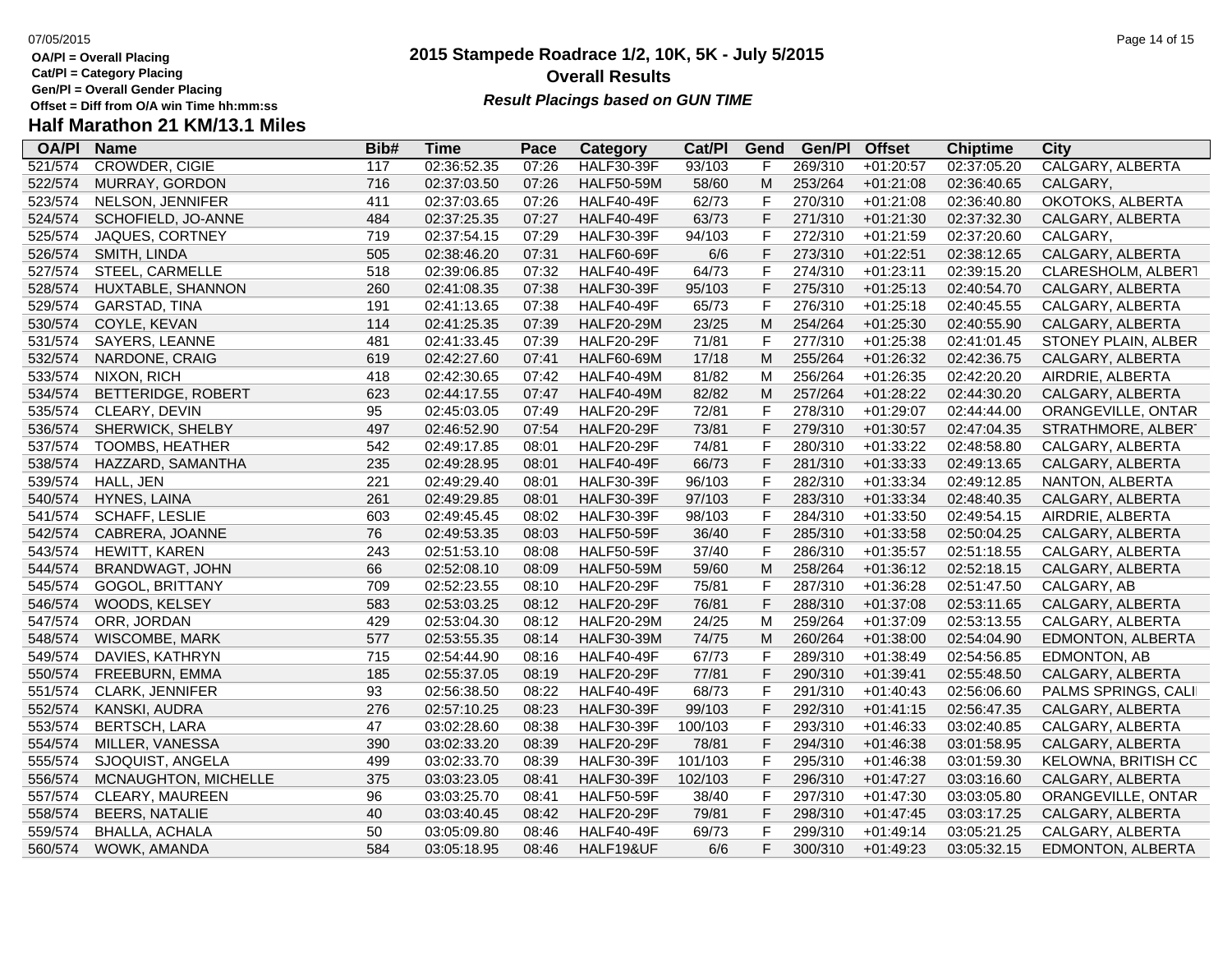**Cat/Pl = Category Placing**

**Gen/Pl = Overall Gender Placing**

# **Half Marathon 21 KM/13.1 Miles**

| <b>OA/PI</b> | <b>Name</b>            | Bib# | <b>Time</b> | Pace  | <b>Category</b>   | Cat/Pl  | Gend | Gen/Pl  | <b>Offset</b> | <b>Chiptime</b> | <b>City</b>             |
|--------------|------------------------|------|-------------|-------|-------------------|---------|------|---------|---------------|-----------------|-------------------------|
| 521/574      | <b>CROWDER, CIGIE</b>  | 117  | 02:36:52.35 | 07:26 | <b>HALF30-39F</b> | 93/103  | F    | 269/310 | $+01:20:57$   | 02:37:05.20     | <b>CALGARY, ALBERTA</b> |
| 522/574      | MURRAY, GORDON         | 716  | 02:37:03.50 | 07:26 | <b>HALF50-59M</b> | 58/60   | M    | 253/264 | $+01:21:08$   | 02:36:40.65     | CALGARY,                |
| 523/574      | NELSON, JENNIFER       | 411  | 02:37:03.65 | 07:26 | HALF40-49F        | 62/73   | F    | 270/310 | $+01:21:08$   | 02:36:40.80     | OKOTOKS, ALBERTA        |
| 524/574      | SCHOFIELD, JO-ANNE     | 484  | 02:37:25.35 | 07:27 | HALF40-49F        | 63/73   | F    | 271/310 | $+01:21:30$   | 02:37:32.30     | CALGARY, ALBERTA        |
| 525/574      | JAQUES, CORTNEY        | 719  | 02:37:54.15 | 07:29 | <b>HALF30-39F</b> | 94/103  | F    | 272/310 | $+01:21:59$   | 02:37:20.60     | CALGARY,                |
| 526/574      | SMITH, LINDA           | 505  | 02:38:46.20 | 07:31 | <b>HALF60-69F</b> | 6/6     | F    | 273/310 | $+01:22:51$   | 02:38:12.65     | CALGARY, ALBERTA        |
| 527/574      | STEEL, CARMELLE        | 518  | 02:39:06.85 | 07:32 | HALF40-49F        | 64/73   | F    | 274/310 | $+01:23:11$   | 02:39:15.20     | CLARESHOLM, ALBERT      |
| 528/574      | HUXTABLE, SHANNON      | 260  | 02:41:08.35 | 07:38 | <b>HALF30-39F</b> | 95/103  | F    | 275/310 | $+01:25:13$   | 02:40:54.70     | CALGARY, ALBERTA        |
| 529/574      | GARSTAD, TINA          | 191  | 02:41:13.65 | 07:38 | HALF40-49F        | 65/73   | F    | 276/310 | $+01:25:18$   | 02:40:45.55     | CALGARY, ALBERTA        |
| 530/574      | COYLE, KEVAN           | 114  | 02:41:25.35 | 07:39 | <b>HALF20-29M</b> | 23/25   | M    | 254/264 | $+01:25:30$   | 02:40:55.90     | CALGARY, ALBERTA        |
| 531/574      | SAYERS, LEANNE         | 481  | 02:41:33.45 | 07:39 | <b>HALF20-29F</b> | 71/81   | F    | 277/310 | $+01:25:38$   | 02:41:01.45     | STONEY PLAIN, ALBER     |
| 532/574      | NARDONE, CRAIG         | 619  | 02:42:27.60 | 07:41 | <b>HALF60-69M</b> | 17/18   | M    | 255/264 | $+01:26:32$   | 02:42:36.75     | CALGARY, ALBERTA        |
| 533/574      | NIXON, RICH            | 418  | 02:42:30.65 | 07:42 | <b>HALF40-49M</b> | 81/82   | M    | 256/264 | $+01:26:35$   | 02:42:20.20     | AIRDRIE, ALBERTA        |
| 534/574      | BETTERIDGE, ROBERT     | 623  | 02:44:17.55 | 07:47 | <b>HALF40-49M</b> | 82/82   | M    | 257/264 | $+01:28:22$   | 02:44:30.20     | CALGARY, ALBERTA        |
| 535/574      | CLEARY, DEVIN          | 95   | 02:45:03.05 | 07:49 | <b>HALF20-29F</b> | 72/81   | F    | 278/310 | $+01:29:07$   | 02:44:44.00     | ORANGEVILLE, ONTAR      |
| 536/574      | SHERWICK, SHELBY       | 497  | 02:46:52.90 | 07:54 | <b>HALF20-29F</b> | 73/81   | F    | 279/310 | $+01:30:57$   | 02:47:04.35     | STRATHMORE, ALBER       |
| 537/574      | <b>TOOMBS, HEATHER</b> | 542  | 02:49:17.85 | 08:01 | <b>HALF20-29F</b> | 74/81   | F    | 280/310 | $+01:33:22$   | 02:48:58.80     | CALGARY, ALBERTA        |
| 538/574      | HAZZARD, SAMANTHA      | 235  | 02:49:28.95 | 08:01 | HALF40-49F        | 66/73   | F    | 281/310 | $+01:33:33$   | 02:49:13.65     | CALGARY, ALBERTA        |
| 539/574      | HALL, JEN              | 221  | 02:49:29.40 | 08:01 | <b>HALF30-39F</b> | 96/103  | F    | 282/310 | $+01:33:34$   | 02:49:12.85     | NANTON, ALBERTA         |
| 540/574      | HYNES, LAINA           | 261  | 02:49:29.85 | 08:01 | <b>HALF30-39F</b> | 97/103  | F    | 283/310 | $+01:33:34$   | 02:48:40.35     | CALGARY, ALBERTA        |
| 541/574      | SCHAFF, LESLIE         | 603  | 02:49:45.45 | 08:02 | <b>HALF30-39F</b> | 98/103  | F    | 284/310 | $+01:33:50$   | 02:49:54.15     | AIRDRIE, ALBERTA        |
| 542/574      | CABRERA, JOANNE        | 76   | 02:49:53.35 | 08:03 | <b>HALF50-59F</b> | 36/40   | F    | 285/310 | $+01:33:58$   | 02:50:04.25     | CALGARY, ALBERTA        |
| 543/574      | <b>HEWITT, KAREN</b>   | 243  | 02:51:53.10 | 08:08 | <b>HALF50-59F</b> | 37/40   | F    | 286/310 | $+01:35:57$   | 02:51:18.55     | CALGARY, ALBERTA        |
| 544/574      | BRANDWAGT, JOHN        | 66   | 02:52:08.10 | 08:09 | <b>HALF50-59M</b> | 59/60   | M    | 258/264 | $+01:36:12$   | 02:52:18.15     | CALGARY, ALBERTA        |
| 545/574      | GOGOL, BRITTANY        | 709  | 02:52:23.55 | 08:10 | <b>HALF20-29F</b> | 75/81   | F    | 287/310 | $+01:36:28$   | 02:51:47.50     | CALGARY, AB             |
| 546/574      | WOODS, KELSEY          | 583  | 02:53:03.25 | 08:12 | <b>HALF20-29F</b> | 76/81   | F    | 288/310 | $+01:37:08$   | 02:53:11.65     | CALGARY, ALBERTA        |
| 547/574      | ORR, JORDAN            | 429  | 02:53:04.30 | 08:12 | <b>HALF20-29M</b> | 24/25   | M    | 259/264 | $+01:37:09$   | 02:53:13.55     | CALGARY, ALBERTA        |
| 548/574      | <b>WISCOMBE, MARK</b>  | 577  | 02:53:55.35 | 08:14 | <b>HALF30-39M</b> | 74/75   | M    | 260/264 | $+01:38:00$   | 02:54:04.90     | EDMONTON, ALBERTA       |
| 549/574      | DAVIES, KATHRYN        | 715  | 02:54:44.90 | 08:16 | HALF40-49F        | 67/73   | F    | 289/310 | $+01:38:49$   | 02:54:56.85     | EDMONTON, AB            |
| 550/574      | FREEBURN, EMMA         | 185  | 02:55:37.05 | 08:19 | <b>HALF20-29F</b> | 77/81   | F    | 290/310 | $+01:39:41$   | 02:55:48.50     | CALGARY, ALBERTA        |
| 551/574      | <b>CLARK, JENNIFER</b> | 93   | 02:56:38.50 | 08:22 | <b>HALF40-49F</b> | 68/73   | F    | 291/310 | $+01:40:43$   | 02:56:06.60     | PALMS SPRINGS, CALI     |
| 552/574      | KANSKI, AUDRA          | 276  | 02:57:10.25 | 08:23 | <b>HALF30-39F</b> | 99/103  | F    | 292/310 | $+01:41:15$   | 02:56:47.35     | CALGARY, ALBERTA        |
| 553/574      | <b>BERTSCH, LARA</b>   | 47   | 03:02:28.60 | 08:38 | <b>HALF30-39F</b> | 100/103 | F    | 293/310 | $+01:46:33$   | 03:02:40.85     | CALGARY, ALBERTA        |
| 554/574      | MILLER, VANESSA        | 390  | 03:02:33.20 | 08:39 | <b>HALF20-29F</b> | 78/81   | F    | 294/310 | $+01:46:38$   | 03:01:58.95     | CALGARY, ALBERTA        |
| 555/574      | SJOQUIST, ANGELA       | 499  | 03:02:33.70 | 08:39 | <b>HALF30-39F</b> | 101/103 | F    | 295/310 | $+01:46:38$   | 03:01:59.30     | KELOWNA, BRITISH CC     |
| 556/574      | MCNAUGHTON, MICHELLE   | 375  | 03:03:23.05 | 08:41 | <b>HALF30-39F</b> | 102/103 | F    | 296/310 | $+01:47:27$   | 03:03:16.60     | CALGARY, ALBERTA        |
| 557/574      | CLEARY, MAUREEN        | 96   | 03:03:25.70 | 08:41 | <b>HALF50-59F</b> | 38/40   | F    | 297/310 | $+01:47:30$   | 03:03:05.80     | ORANGEVILLE, ONTAR      |
| 558/574      | <b>BEERS, NATALIE</b>  | 40   | 03:03:40.45 | 08:42 | <b>HALF20-29F</b> | 79/81   | F    | 298/310 | $+01:47:45$   | 03:03:17.25     | CALGARY, ALBERTA        |
| 559/574      | <b>BHALLA, ACHALA</b>  | 50   | 03:05:09.80 | 08:46 | <b>HALF40-49F</b> | 69/73   | F    | 299/310 | $+01:49:14$   | 03:05:21.25     | CALGARY, ALBERTA        |
| 560/574      | WOWK, AMANDA           | 584  | 03:05:18.95 | 08:46 | HALF19&UF         | 6/6     | F    | 300/310 | $+01:49:23$   | 03:05:32.15     | EDMONTON, ALBERTA       |
|              |                        |      |             |       |                   |         |      |         |               |                 |                         |

## **2015 Stampede Roadrace 1/2, 10K, 5K - July 5/2015 Overall Results**

**Result Placings based on GUN TIME**